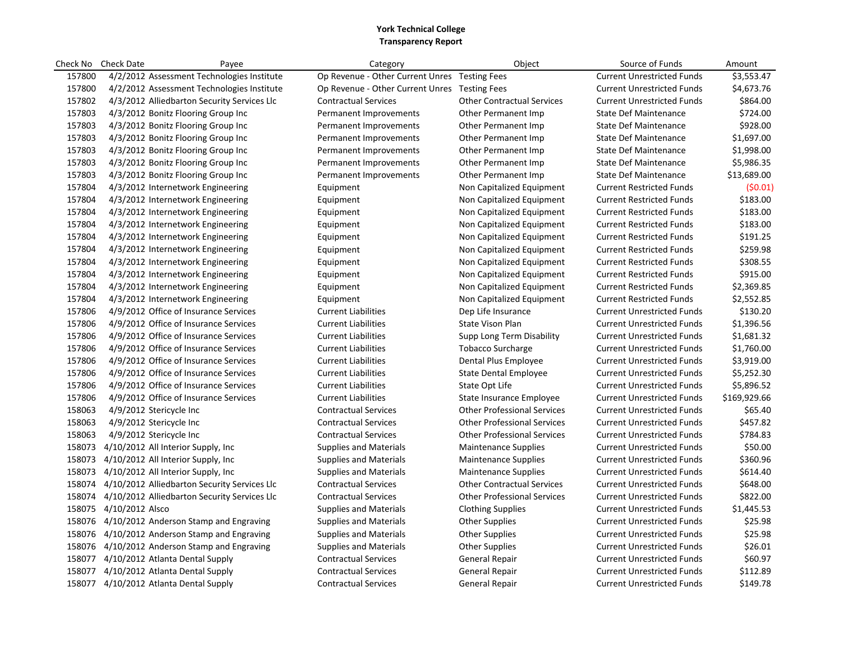|        | Check No Check Date    | Payee                                               | Category                                      | Object                             | Source of Funds                   | Amount       |
|--------|------------------------|-----------------------------------------------------|-----------------------------------------------|------------------------------------|-----------------------------------|--------------|
| 157800 |                        | 4/2/2012 Assessment Technologies Institute          | Op Revenue - Other Current Unres Testing Fees |                                    | <b>Current Unrestricted Funds</b> | \$3,553.47   |
| 157800 |                        | 4/2/2012 Assessment Technologies Institute          | Op Revenue - Other Current Unres Testing Fees |                                    | <b>Current Unrestricted Funds</b> | \$4,673.76   |
| 157802 |                        | 4/3/2012 Alliedbarton Security Services Llc         | <b>Contractual Services</b>                   | <b>Other Contractual Services</b>  | <b>Current Unrestricted Funds</b> | \$864.00     |
| 157803 |                        | 4/3/2012 Bonitz Flooring Group Inc                  | Permanent Improvements                        | Other Permanent Imp                | <b>State Def Maintenance</b>      | \$724.00     |
| 157803 |                        | 4/3/2012 Bonitz Flooring Group Inc                  | Permanent Improvements                        | Other Permanent Imp                | <b>State Def Maintenance</b>      | \$928.00     |
| 157803 |                        | 4/3/2012 Bonitz Flooring Group Inc                  | Permanent Improvements                        | Other Permanent Imp                | <b>State Def Maintenance</b>      | \$1,697.00   |
| 157803 |                        | 4/3/2012 Bonitz Flooring Group Inc                  | Permanent Improvements                        | Other Permanent Imp                | <b>State Def Maintenance</b>      | \$1,998.00   |
| 157803 |                        | 4/3/2012 Bonitz Flooring Group Inc                  | Permanent Improvements                        | Other Permanent Imp                | <b>State Def Maintenance</b>      | \$5,986.35   |
| 157803 |                        | 4/3/2012 Bonitz Flooring Group Inc                  | Permanent Improvements                        | Other Permanent Imp                | <b>State Def Maintenance</b>      | \$13,689.00  |
| 157804 |                        | 4/3/2012 Internetwork Engineering                   | Equipment                                     | Non Capitalized Equipment          | <b>Current Restricted Funds</b>   | (50.01)      |
| 157804 |                        | 4/3/2012 Internetwork Engineering                   | Equipment                                     | Non Capitalized Equipment          | <b>Current Restricted Funds</b>   | \$183.00     |
| 157804 |                        | 4/3/2012 Internetwork Engineering                   | Equipment                                     | Non Capitalized Equipment          | <b>Current Restricted Funds</b>   | \$183.00     |
| 157804 |                        | 4/3/2012 Internetwork Engineering                   | Equipment                                     | Non Capitalized Equipment          | <b>Current Restricted Funds</b>   | \$183.00     |
| 157804 |                        | 4/3/2012 Internetwork Engineering                   | Equipment                                     | Non Capitalized Equipment          | <b>Current Restricted Funds</b>   | \$191.25     |
| 157804 |                        | 4/3/2012 Internetwork Engineering                   | Equipment                                     | Non Capitalized Equipment          | <b>Current Restricted Funds</b>   | \$259.98     |
| 157804 |                        | 4/3/2012 Internetwork Engineering                   | Equipment                                     | Non Capitalized Equipment          | <b>Current Restricted Funds</b>   | \$308.55     |
| 157804 |                        | 4/3/2012 Internetwork Engineering                   | Equipment                                     | Non Capitalized Equipment          | <b>Current Restricted Funds</b>   | \$915.00     |
| 157804 |                        | 4/3/2012 Internetwork Engineering                   | Equipment                                     | Non Capitalized Equipment          | <b>Current Restricted Funds</b>   | \$2,369.85   |
| 157804 |                        | 4/3/2012 Internetwork Engineering                   | Equipment                                     | Non Capitalized Equipment          | <b>Current Restricted Funds</b>   | \$2,552.85   |
| 157806 |                        | 4/9/2012 Office of Insurance Services               | <b>Current Liabilities</b>                    | Dep Life Insurance                 | <b>Current Unrestricted Funds</b> | \$130.20     |
| 157806 |                        | 4/9/2012 Office of Insurance Services               | <b>Current Liabilities</b>                    | State Vison Plan                   | <b>Current Unrestricted Funds</b> | \$1,396.56   |
| 157806 |                        | 4/9/2012 Office of Insurance Services               | <b>Current Liabilities</b>                    | Supp Long Term Disability          | <b>Current Unrestricted Funds</b> | \$1,681.32   |
| 157806 |                        | 4/9/2012 Office of Insurance Services               | <b>Current Liabilities</b>                    | <b>Tobacco Surcharge</b>           | <b>Current Unrestricted Funds</b> | \$1,760.00   |
| 157806 |                        | 4/9/2012 Office of Insurance Services               | <b>Current Liabilities</b>                    | Dental Plus Employee               | <b>Current Unrestricted Funds</b> | \$3,919.00   |
| 157806 |                        | 4/9/2012 Office of Insurance Services               | <b>Current Liabilities</b>                    | <b>State Dental Employee</b>       | <b>Current Unrestricted Funds</b> | \$5,252.30   |
| 157806 |                        | 4/9/2012 Office of Insurance Services               | <b>Current Liabilities</b>                    | State Opt Life                     | <b>Current Unrestricted Funds</b> | \$5,896.52   |
| 157806 |                        | 4/9/2012 Office of Insurance Services               | <b>Current Liabilities</b>                    | State Insurance Employee           | <b>Current Unrestricted Funds</b> | \$169,929.66 |
| 158063 |                        | 4/9/2012 Stericycle Inc                             | <b>Contractual Services</b>                   | <b>Other Professional Services</b> | <b>Current Unrestricted Funds</b> | \$65.40      |
| 158063 |                        | 4/9/2012 Stericycle Inc                             | <b>Contractual Services</b>                   | <b>Other Professional Services</b> | <b>Current Unrestricted Funds</b> | \$457.82     |
| 158063 |                        | 4/9/2012 Stericycle Inc                             | <b>Contractual Services</b>                   | <b>Other Professional Services</b> | <b>Current Unrestricted Funds</b> | \$784.83     |
| 158073 |                        | 4/10/2012 All Interior Supply, Inc.                 | <b>Supplies and Materials</b>                 | <b>Maintenance Supplies</b>        | <b>Current Unrestricted Funds</b> | \$50.00      |
| 158073 |                        | 4/10/2012 All Interior Supply, Inc.                 | <b>Supplies and Materials</b>                 | <b>Maintenance Supplies</b>        | <b>Current Unrestricted Funds</b> | \$360.96     |
|        |                        | 158073 4/10/2012 All Interior Supply, Inc           | <b>Supplies and Materials</b>                 | <b>Maintenance Supplies</b>        | <b>Current Unrestricted Funds</b> | \$614.40     |
| 158074 |                        | 4/10/2012 Alliedbarton Security Services Llc        | <b>Contractual Services</b>                   | <b>Other Contractual Services</b>  | <b>Current Unrestricted Funds</b> | \$648.00     |
|        |                        | 158074 4/10/2012 Alliedbarton Security Services Llc | <b>Contractual Services</b>                   | <b>Other Professional Services</b> | <b>Current Unrestricted Funds</b> | \$822.00     |
|        | 158075 4/10/2012 Alsco |                                                     | <b>Supplies and Materials</b>                 | <b>Clothing Supplies</b>           | <b>Current Unrestricted Funds</b> | \$1,445.53   |
|        |                        | 158076 4/10/2012 Anderson Stamp and Engraving       | <b>Supplies and Materials</b>                 | <b>Other Supplies</b>              | <b>Current Unrestricted Funds</b> | \$25.98      |
|        |                        | 158076 4/10/2012 Anderson Stamp and Engraving       | <b>Supplies and Materials</b>                 | <b>Other Supplies</b>              | <b>Current Unrestricted Funds</b> | \$25.98      |
|        |                        | 158076 4/10/2012 Anderson Stamp and Engraving       | <b>Supplies and Materials</b>                 | <b>Other Supplies</b>              | <b>Current Unrestricted Funds</b> | \$26.01      |
|        |                        | 158077 4/10/2012 Atlanta Dental Supply              | <b>Contractual Services</b>                   | <b>General Repair</b>              | <b>Current Unrestricted Funds</b> | \$60.97      |
|        |                        | 158077 4/10/2012 Atlanta Dental Supply              | <b>Contractual Services</b>                   | <b>General Repair</b>              | <b>Current Unrestricted Funds</b> | \$112.89     |
|        |                        | 158077 4/10/2012 Atlanta Dental Supply              | <b>Contractual Services</b>                   | <b>General Repair</b>              | <b>Current Unrestricted Funds</b> | \$149.78     |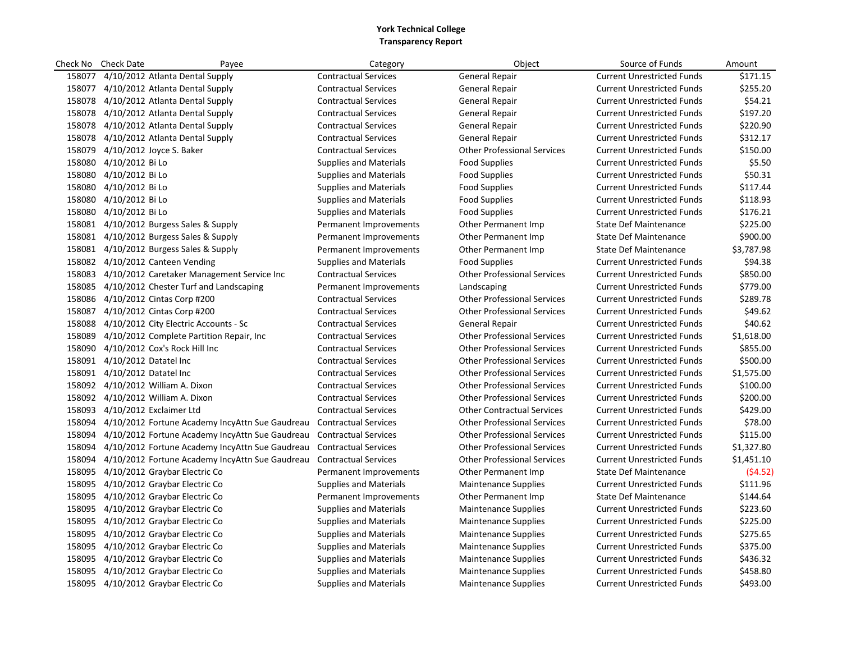| Check No | <b>Check Date</b><br>Payee                             | Category                      | Object                             | Source of Funds                   | Amount     |
|----------|--------------------------------------------------------|-------------------------------|------------------------------------|-----------------------------------|------------|
|          | 158077 4/10/2012 Atlanta Dental Supply                 | <b>Contractual Services</b>   | <b>General Repair</b>              | <b>Current Unrestricted Funds</b> | \$171.15   |
|          | 158077 4/10/2012 Atlanta Dental Supply                 | <b>Contractual Services</b>   | General Repair                     | <b>Current Unrestricted Funds</b> | \$255.20   |
|          | 158078 4/10/2012 Atlanta Dental Supply                 | <b>Contractual Services</b>   | General Repair                     | <b>Current Unrestricted Funds</b> | \$54.21    |
|          | 158078 4/10/2012 Atlanta Dental Supply                 | <b>Contractual Services</b>   | General Repair                     | <b>Current Unrestricted Funds</b> | \$197.20   |
|          | 158078 4/10/2012 Atlanta Dental Supply                 | <b>Contractual Services</b>   | General Repair                     | <b>Current Unrestricted Funds</b> | \$220.90   |
|          | 158078 4/10/2012 Atlanta Dental Supply                 | <b>Contractual Services</b>   | General Repair                     | <b>Current Unrestricted Funds</b> | \$312.17   |
|          | 158079 4/10/2012 Joyce S. Baker                        | <b>Contractual Services</b>   | <b>Other Professional Services</b> | <b>Current Unrestricted Funds</b> | \$150.00   |
|          | 158080 4/10/2012 Bi Lo                                 | <b>Supplies and Materials</b> | <b>Food Supplies</b>               | <b>Current Unrestricted Funds</b> | \$5.50     |
|          | 158080 4/10/2012 Bi Lo                                 | <b>Supplies and Materials</b> | <b>Food Supplies</b>               | <b>Current Unrestricted Funds</b> | \$50.31    |
|          | 158080 4/10/2012 Bi Lo                                 | <b>Supplies and Materials</b> | Food Supplies                      | <b>Current Unrestricted Funds</b> | \$117.44   |
|          | 158080 4/10/2012 Bi Lo                                 | <b>Supplies and Materials</b> | Food Supplies                      | <b>Current Unrestricted Funds</b> | \$118.93   |
|          | 158080 4/10/2012 Bi Lo                                 | <b>Supplies and Materials</b> | Food Supplies                      | <b>Current Unrestricted Funds</b> | \$176.21   |
|          | 158081 4/10/2012 Burgess Sales & Supply                | Permanent Improvements        | Other Permanent Imp                | <b>State Def Maintenance</b>      | \$225.00   |
|          | 158081 4/10/2012 Burgess Sales & Supply                | Permanent Improvements        | Other Permanent Imp                | <b>State Def Maintenance</b>      | \$900.00   |
|          | 158081 4/10/2012 Burgess Sales & Supply                | Permanent Improvements        | Other Permanent Imp                | <b>State Def Maintenance</b>      | \$3,787.98 |
|          | 158082 4/10/2012 Canteen Vending                       | <b>Supplies and Materials</b> | Food Supplies                      | <b>Current Unrestricted Funds</b> | \$94.38    |
|          | 158083 4/10/2012 Caretaker Management Service Inc      | <b>Contractual Services</b>   | <b>Other Professional Services</b> | <b>Current Unrestricted Funds</b> | \$850.00   |
|          | 158085 4/10/2012 Chester Turf and Landscaping          | Permanent Improvements        | Landscaping                        | <b>Current Unrestricted Funds</b> | \$779.00   |
|          | 158086 4/10/2012 Cintas Corp #200                      | <b>Contractual Services</b>   | <b>Other Professional Services</b> | <b>Current Unrestricted Funds</b> | \$289.78   |
|          | 158087 4/10/2012 Cintas Corp #200                      | <b>Contractual Services</b>   | <b>Other Professional Services</b> | <b>Current Unrestricted Funds</b> | \$49.62    |
|          | 158088 4/10/2012 City Electric Accounts - Sc           | <b>Contractual Services</b>   | <b>General Repair</b>              | <b>Current Unrestricted Funds</b> | \$40.62    |
|          | 158089 4/10/2012 Complete Partition Repair, Inc.       | <b>Contractual Services</b>   | <b>Other Professional Services</b> | <b>Current Unrestricted Funds</b> | \$1,618.00 |
|          | 158090 4/10/2012 Cox's Rock Hill Inc                   | <b>Contractual Services</b>   | <b>Other Professional Services</b> | <b>Current Unrestricted Funds</b> | \$855.00   |
|          | 158091 4/10/2012 Datatel Inc                           | <b>Contractual Services</b>   | <b>Other Professional Services</b> | <b>Current Unrestricted Funds</b> | \$500.00   |
|          | 158091 4/10/2012 Datatel Inc                           | <b>Contractual Services</b>   | <b>Other Professional Services</b> | <b>Current Unrestricted Funds</b> | \$1,575.00 |
|          | 158092 4/10/2012 William A. Dixon                      | <b>Contractual Services</b>   | <b>Other Professional Services</b> | <b>Current Unrestricted Funds</b> | \$100.00   |
|          | 158092 4/10/2012 William A. Dixon                      | <b>Contractual Services</b>   | <b>Other Professional Services</b> | <b>Current Unrestricted Funds</b> | \$200.00   |
|          | 158093 4/10/2012 Exclaimer Ltd                         | <b>Contractual Services</b>   | <b>Other Contractual Services</b>  | <b>Current Unrestricted Funds</b> | \$429.00   |
|          | 158094 4/10/2012 Fortune Academy IncyAttn Sue Gaudreau | <b>Contractual Services</b>   | <b>Other Professional Services</b> | <b>Current Unrestricted Funds</b> | \$78.00    |
| 158094   | 4/10/2012 Fortune Academy IncyAttn Sue Gaudreau        | <b>Contractual Services</b>   | <b>Other Professional Services</b> | <b>Current Unrestricted Funds</b> | \$115.00   |
|          | 158094 4/10/2012 Fortune Academy IncyAttn Sue Gaudreau | <b>Contractual Services</b>   | <b>Other Professional Services</b> | <b>Current Unrestricted Funds</b> | \$1,327.80 |
| 158094   | 4/10/2012 Fortune Academy IncyAttn Sue Gaudreau        | <b>Contractual Services</b>   | <b>Other Professional Services</b> | <b>Current Unrestricted Funds</b> | \$1,451.10 |
|          | 158095 4/10/2012 Graybar Electric Co                   | Permanent Improvements        | Other Permanent Imp                | <b>State Def Maintenance</b>      | (\$4.52)   |
|          | 158095 4/10/2012 Graybar Electric Co                   | <b>Supplies and Materials</b> | <b>Maintenance Supplies</b>        | <b>Current Unrestricted Funds</b> | \$111.96   |
|          | 158095 4/10/2012 Graybar Electric Co                   | Permanent Improvements        | Other Permanent Imp                | <b>State Def Maintenance</b>      | \$144.64   |
|          | 158095 4/10/2012 Graybar Electric Co                   | <b>Supplies and Materials</b> | <b>Maintenance Supplies</b>        | <b>Current Unrestricted Funds</b> | \$223.60   |
|          | 158095 4/10/2012 Graybar Electric Co                   | <b>Supplies and Materials</b> | <b>Maintenance Supplies</b>        | <b>Current Unrestricted Funds</b> | \$225.00   |
|          | 158095 4/10/2012 Graybar Electric Co                   | Supplies and Materials        | <b>Maintenance Supplies</b>        | <b>Current Unrestricted Funds</b> | \$275.65   |
|          | 158095 4/10/2012 Graybar Electric Co                   | <b>Supplies and Materials</b> | <b>Maintenance Supplies</b>        | <b>Current Unrestricted Funds</b> | \$375.00   |
|          | 158095 4/10/2012 Graybar Electric Co                   | <b>Supplies and Materials</b> | <b>Maintenance Supplies</b>        | <b>Current Unrestricted Funds</b> | \$436.32   |
|          | 158095 4/10/2012 Graybar Electric Co                   | <b>Supplies and Materials</b> | <b>Maintenance Supplies</b>        | <b>Current Unrestricted Funds</b> | \$458.80   |
|          | 158095 4/10/2012 Graybar Electric Co                   | <b>Supplies and Materials</b> | <b>Maintenance Supplies</b>        | <b>Current Unrestricted Funds</b> | \$493.00   |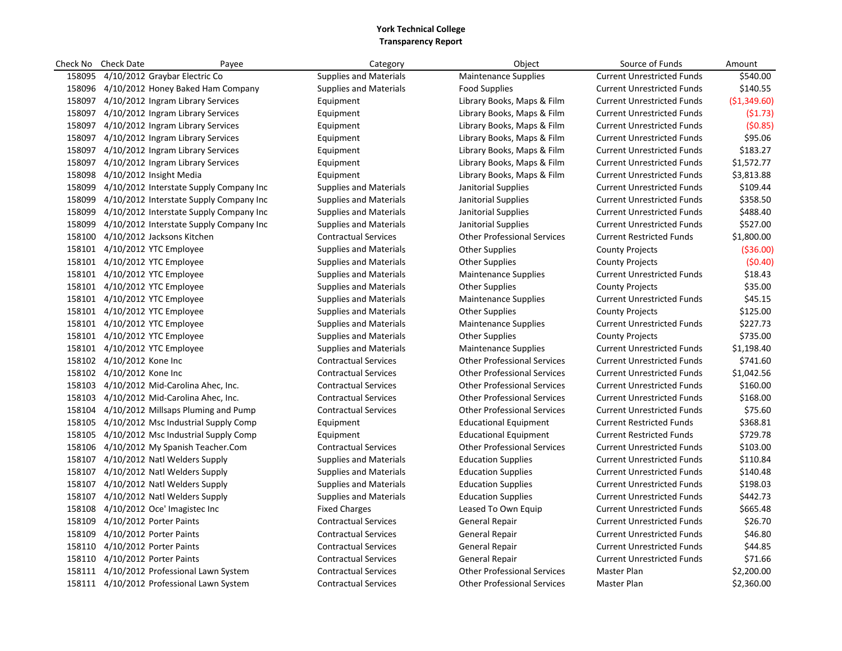| Check No | <b>Check Date</b>                        | Payee                                       | Category                      | Object                             | Source of Funds                   | Amount       |
|----------|------------------------------------------|---------------------------------------------|-------------------------------|------------------------------------|-----------------------------------|--------------|
| 158095   | 4/10/2012 Graybar Electric Co            |                                             | <b>Supplies and Materials</b> | <b>Maintenance Supplies</b>        | <b>Current Unrestricted Funds</b> | \$540.00     |
|          |                                          | 158096 4/10/2012 Honey Baked Ham Company    | <b>Supplies and Materials</b> | <b>Food Supplies</b>               | <b>Current Unrestricted Funds</b> | \$140.55     |
|          | 158097 4/10/2012 Ingram Library Services |                                             | Equipment                     | Library Books, Maps & Film         | <b>Current Unrestricted Funds</b> | (\$1,349.60) |
| 158097   | 4/10/2012 Ingram Library Services        |                                             | Equipment                     | Library Books, Maps & Film         | <b>Current Unrestricted Funds</b> | (51.73)      |
|          | 158097 4/10/2012 Ingram Library Services |                                             | Equipment                     | Library Books, Maps & Film         | <b>Current Unrestricted Funds</b> | (50.85)      |
| 158097   | 4/10/2012 Ingram Library Services        |                                             | Equipment                     | Library Books, Maps & Film         | <b>Current Unrestricted Funds</b> | \$95.06      |
| 158097   | 4/10/2012 Ingram Library Services        |                                             | Equipment                     | Library Books, Maps & Film         | <b>Current Unrestricted Funds</b> | \$183.27     |
| 158097   |                                          | 4/10/2012 Ingram Library Services           | Equipment                     | Library Books, Maps & Film         | <b>Current Unrestricted Funds</b> | \$1,572.77   |
| 158098   | 4/10/2012 Insight Media                  |                                             | Equipment                     | Library Books, Maps & Film         | <b>Current Unrestricted Funds</b> | \$3,813.88   |
| 158099   |                                          | 4/10/2012 Interstate Supply Company Inc     | <b>Supplies and Materials</b> | Janitorial Supplies                | <b>Current Unrestricted Funds</b> | \$109.44     |
| 158099   |                                          | 4/10/2012 Interstate Supply Company Inc     | <b>Supplies and Materials</b> | Janitorial Supplies                | <b>Current Unrestricted Funds</b> | \$358.50     |
| 158099   |                                          | 4/10/2012 Interstate Supply Company Inc     | <b>Supplies and Materials</b> | Janitorial Supplies                | <b>Current Unrestricted Funds</b> | \$488.40     |
| 158099   |                                          | 4/10/2012 Interstate Supply Company Inc     | <b>Supplies and Materials</b> | Janitorial Supplies                | <b>Current Unrestricted Funds</b> | \$527.00     |
| 158100   | 4/10/2012 Jacksons Kitchen               |                                             | <b>Contractual Services</b>   | <b>Other Professional Services</b> | <b>Current Restricted Funds</b>   | \$1,800.00   |
|          | 158101 4/10/2012 YTC Employee            |                                             | <b>Supplies and Materials</b> | <b>Other Supplies</b>              | <b>County Projects</b>            | ( \$36.00)   |
| 158101   | 4/10/2012 YTC Employee                   |                                             | <b>Supplies and Materials</b> | <b>Other Supplies</b>              | <b>County Projects</b>            | (50.40)      |
|          | 158101 4/10/2012 YTC Employee            |                                             | <b>Supplies and Materials</b> | <b>Maintenance Supplies</b>        | <b>Current Unrestricted Funds</b> | \$18.43      |
| 158101   | 4/10/2012 YTC Employee                   |                                             | <b>Supplies and Materials</b> | <b>Other Supplies</b>              | <b>County Projects</b>            | \$35.00      |
|          | 158101 4/10/2012 YTC Employee            |                                             | <b>Supplies and Materials</b> | <b>Maintenance Supplies</b>        | <b>Current Unrestricted Funds</b> | \$45.15      |
| 158101   | 4/10/2012 YTC Employee                   |                                             | <b>Supplies and Materials</b> | <b>Other Supplies</b>              | <b>County Projects</b>            | \$125.00     |
|          | 158101 4/10/2012 YTC Employee            |                                             | <b>Supplies and Materials</b> | Maintenance Supplies               | <b>Current Unrestricted Funds</b> | \$227.73     |
| 158101   | 4/10/2012 YTC Employee                   |                                             | <b>Supplies and Materials</b> | <b>Other Supplies</b>              | <b>County Projects</b>            | \$735.00     |
|          | 158101 4/10/2012 YTC Employee            |                                             | <b>Supplies and Materials</b> | <b>Maintenance Supplies</b>        | <b>Current Unrestricted Funds</b> | \$1,198.40   |
|          | 158102 4/10/2012 Kone Inc                |                                             | <b>Contractual Services</b>   | <b>Other Professional Services</b> | <b>Current Unrestricted Funds</b> | \$741.60     |
|          | 158102 4/10/2012 Kone Inc                |                                             | <b>Contractual Services</b>   | <b>Other Professional Services</b> | <b>Current Unrestricted Funds</b> | \$1,042.56   |
| 158103   | 4/10/2012 Mid-Carolina Ahec, Inc.        |                                             | <b>Contractual Services</b>   | <b>Other Professional Services</b> | <b>Current Unrestricted Funds</b> | \$160.00     |
|          | 158103 4/10/2012 Mid-Carolina Ahec, Inc. |                                             | <b>Contractual Services</b>   | <b>Other Professional Services</b> | <b>Current Unrestricted Funds</b> | \$168.00     |
| 158104   |                                          | 4/10/2012 Millsaps Pluming and Pump         | <b>Contractual Services</b>   | <b>Other Professional Services</b> | <b>Current Unrestricted Funds</b> | \$75.60      |
|          |                                          | 158105 4/10/2012 Msc Industrial Supply Comp | Equipment                     | <b>Educational Equipment</b>       | <b>Current Restricted Funds</b>   | \$368.81     |
| 158105   |                                          | 4/10/2012 Msc Industrial Supply Comp        | Equipment                     | <b>Educational Equipment</b>       | <b>Current Restricted Funds</b>   | \$729.78     |
|          |                                          | 158106 4/10/2012 My Spanish Teacher.Com     | <b>Contractual Services</b>   | <b>Other Professional Services</b> | <b>Current Unrestricted Funds</b> | \$103.00     |
| 158107   | 4/10/2012 Natl Welders Supply            |                                             | <b>Supplies and Materials</b> | <b>Education Supplies</b>          | <b>Current Unrestricted Funds</b> | \$110.84     |
|          | 158107 4/10/2012 Natl Welders Supply     |                                             | <b>Supplies and Materials</b> | <b>Education Supplies</b>          | <b>Current Unrestricted Funds</b> | \$140.48     |
| 158107   | 4/10/2012 Natl Welders Supply            |                                             | <b>Supplies and Materials</b> | <b>Education Supplies</b>          | <b>Current Unrestricted Funds</b> | \$198.03     |
| 158107   | 4/10/2012 Natl Welders Supply            |                                             | <b>Supplies and Materials</b> | <b>Education Supplies</b>          | <b>Current Unrestricted Funds</b> | \$442.73     |
| 158108   | 4/10/2012 Oce' Imagistec Inc             |                                             | <b>Fixed Charges</b>          | Leased To Own Equip                | <b>Current Unrestricted Funds</b> | \$665.48     |
| 158109   | 4/10/2012 Porter Paints                  |                                             | <b>Contractual Services</b>   | <b>General Repair</b>              | <b>Current Unrestricted Funds</b> | \$26.70      |
| 158109   | 4/10/2012 Porter Paints                  |                                             | <b>Contractual Services</b>   | <b>General Repair</b>              | <b>Current Unrestricted Funds</b> | \$46.80      |
| 158110   | 4/10/2012 Porter Paints                  |                                             | <b>Contractual Services</b>   | General Repair                     | <b>Current Unrestricted Funds</b> | \$44.85      |
| 158110   | 4/10/2012 Porter Paints                  |                                             | <b>Contractual Services</b>   | <b>General Repair</b>              | <b>Current Unrestricted Funds</b> | \$71.66      |
| 158111   |                                          | 4/10/2012 Professional Lawn System          | <b>Contractual Services</b>   | <b>Other Professional Services</b> | Master Plan                       | \$2,200.00   |
|          |                                          | 158111 4/10/2012 Professional Lawn System   | <b>Contractual Services</b>   | <b>Other Professional Services</b> | Master Plan                       | \$2,360.00   |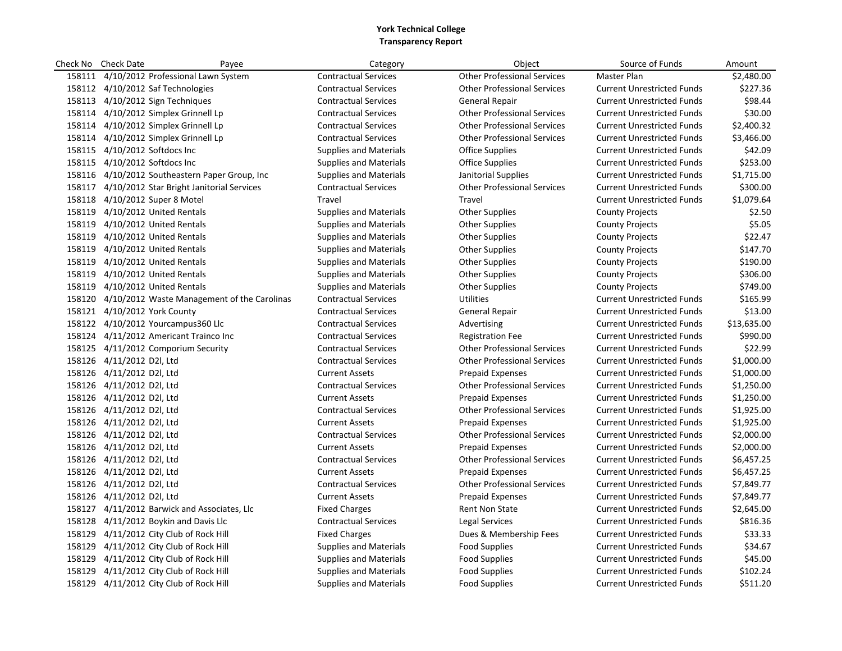| Check No | <b>Check Date</b><br>Payee                         | Category                      | Object                             | Source of Funds                   | Amount      |
|----------|----------------------------------------------------|-------------------------------|------------------------------------|-----------------------------------|-------------|
|          | 158111 4/10/2012 Professional Lawn System          | <b>Contractual Services</b>   | <b>Other Professional Services</b> | Master Plan                       | \$2,480.00  |
|          | 158112 4/10/2012 Saf Technologies                  | <b>Contractual Services</b>   | <b>Other Professional Services</b> | <b>Current Unrestricted Funds</b> | \$227.36    |
|          | 158113 4/10/2012 Sign Techniques                   | <b>Contractual Services</b>   | <b>General Repair</b>              | <b>Current Unrestricted Funds</b> | \$98.44     |
|          | 158114 4/10/2012 Simplex Grinnell Lp               | <b>Contractual Services</b>   | <b>Other Professional Services</b> | <b>Current Unrestricted Funds</b> | \$30.00     |
|          | 158114 4/10/2012 Simplex Grinnell Lp               | <b>Contractual Services</b>   | <b>Other Professional Services</b> | <b>Current Unrestricted Funds</b> | \$2,400.32  |
|          | 158114 4/10/2012 Simplex Grinnell Lp               | <b>Contractual Services</b>   | <b>Other Professional Services</b> | <b>Current Unrestricted Funds</b> | \$3,466.00  |
|          | 158115 4/10/2012 Softdocs Inc                      | <b>Supplies and Materials</b> | <b>Office Supplies</b>             | <b>Current Unrestricted Funds</b> | \$42.09     |
|          | 158115 4/10/2012 Softdocs Inc                      | <b>Supplies and Materials</b> | <b>Office Supplies</b>             | <b>Current Unrestricted Funds</b> | \$253.00    |
|          | 158116 4/10/2012 Southeastern Paper Group, Inc     | <b>Supplies and Materials</b> | Janitorial Supplies                | <b>Current Unrestricted Funds</b> | \$1,715.00  |
|          | 158117 4/10/2012 Star Bright Janitorial Services   | <b>Contractual Services</b>   | <b>Other Professional Services</b> | <b>Current Unrestricted Funds</b> | \$300.00    |
|          | 158118 4/10/2012 Super 8 Motel                     | Travel                        | Travel                             | <b>Current Unrestricted Funds</b> | \$1,079.64  |
|          | 158119 4/10/2012 United Rentals                    | <b>Supplies and Materials</b> | <b>Other Supplies</b>              | <b>County Projects</b>            | \$2.50      |
|          | 158119 4/10/2012 United Rentals                    | <b>Supplies and Materials</b> | <b>Other Supplies</b>              | <b>County Projects</b>            | \$5.05      |
|          | 158119 4/10/2012 United Rentals                    | <b>Supplies and Materials</b> | <b>Other Supplies</b>              | <b>County Projects</b>            | \$22.47     |
|          | 158119 4/10/2012 United Rentals                    | <b>Supplies and Materials</b> | <b>Other Supplies</b>              | <b>County Projects</b>            | \$147.70    |
|          | 158119 4/10/2012 United Rentals                    | <b>Supplies and Materials</b> | <b>Other Supplies</b>              | <b>County Projects</b>            | \$190.00    |
|          | 158119 4/10/2012 United Rentals                    | <b>Supplies and Materials</b> | <b>Other Supplies</b>              | <b>County Projects</b>            | \$306.00    |
|          | 158119 4/10/2012 United Rentals                    | Supplies and Materials        | <b>Other Supplies</b>              | <b>County Projects</b>            | \$749.00    |
|          | 158120 4/10/2012 Waste Management of the Carolinas | <b>Contractual Services</b>   | <b>Utilities</b>                   | <b>Current Unrestricted Funds</b> | \$165.99    |
|          | 158121 4/10/2012 York County                       | <b>Contractual Services</b>   | General Repair                     | <b>Current Unrestricted Funds</b> | \$13.00     |
|          | 158122 4/10/2012 Yourcampus 360 Llc                | <b>Contractual Services</b>   | Advertising                        | <b>Current Unrestricted Funds</b> | \$13,635.00 |
|          | 158124 4/11/2012 Americant Trainco Inc             | <b>Contractual Services</b>   | <b>Registration Fee</b>            | <b>Current Unrestricted Funds</b> | \$990.00    |
|          | 158125 4/11/2012 Comporium Security                | <b>Contractual Services</b>   | <b>Other Professional Services</b> | <b>Current Unrestricted Funds</b> | \$22.99     |
|          | 158126 4/11/2012 D2I, Ltd                          | <b>Contractual Services</b>   | <b>Other Professional Services</b> | <b>Current Unrestricted Funds</b> | \$1,000.00  |
|          | 158126 4/11/2012 D2I, Ltd                          | <b>Current Assets</b>         | <b>Prepaid Expenses</b>            | <b>Current Unrestricted Funds</b> | \$1,000.00  |
|          | 158126 4/11/2012 D2I, Ltd                          | <b>Contractual Services</b>   | <b>Other Professional Services</b> | <b>Current Unrestricted Funds</b> | \$1,250.00  |
|          | 158126 4/11/2012 D2I, Ltd                          | <b>Current Assets</b>         | <b>Prepaid Expenses</b>            | <b>Current Unrestricted Funds</b> | \$1,250.00  |
|          | 158126 4/11/2012 D2I, Ltd                          | <b>Contractual Services</b>   | <b>Other Professional Services</b> | <b>Current Unrestricted Funds</b> | \$1,925.00  |
|          | 158126 4/11/2012 D2I, Ltd                          | <b>Current Assets</b>         | <b>Prepaid Expenses</b>            | <b>Current Unrestricted Funds</b> | \$1,925.00  |
|          | 158126 4/11/2012 D2I, Ltd                          | <b>Contractual Services</b>   | <b>Other Professional Services</b> | <b>Current Unrestricted Funds</b> | \$2,000.00  |
|          | 158126 4/11/2012 D2I, Ltd                          | <b>Current Assets</b>         | <b>Prepaid Expenses</b>            | <b>Current Unrestricted Funds</b> | \$2,000.00  |
|          | 158126 4/11/2012 D2I, Ltd                          | <b>Contractual Services</b>   | <b>Other Professional Services</b> | <b>Current Unrestricted Funds</b> | \$6,457.25  |
|          | 158126 4/11/2012 D2I, Ltd                          | <b>Current Assets</b>         | <b>Prepaid Expenses</b>            | <b>Current Unrestricted Funds</b> | \$6,457.25  |
|          | 158126 4/11/2012 D2I, Ltd                          | <b>Contractual Services</b>   | <b>Other Professional Services</b> | <b>Current Unrestricted Funds</b> | \$7,849.77  |
|          | 158126 4/11/2012 D2I, Ltd                          | <b>Current Assets</b>         | <b>Prepaid Expenses</b>            | <b>Current Unrestricted Funds</b> | \$7,849.77  |
|          | 158127 4/11/2012 Barwick and Associates, Llc       | <b>Fixed Charges</b>          | <b>Rent Non State</b>              | <b>Current Unrestricted Funds</b> | \$2,645.00  |
|          | 158128 4/11/2012 Boykin and Davis Llc              | <b>Contractual Services</b>   | Legal Services                     | <b>Current Unrestricted Funds</b> | \$816.36    |
|          | 158129 4/11/2012 City Club of Rock Hill            | <b>Fixed Charges</b>          | Dues & Membership Fees             | <b>Current Unrestricted Funds</b> | \$33.33     |
|          | 158129 4/11/2012 City Club of Rock Hill            | <b>Supplies and Materials</b> | <b>Food Supplies</b>               | <b>Current Unrestricted Funds</b> | \$34.67     |
|          | 158129 4/11/2012 City Club of Rock Hill            | <b>Supplies and Materials</b> | <b>Food Supplies</b>               | <b>Current Unrestricted Funds</b> | \$45.00     |
|          | 158129 4/11/2012 City Club of Rock Hill            | <b>Supplies and Materials</b> | <b>Food Supplies</b>               | <b>Current Unrestricted Funds</b> | \$102.24    |
|          | 158129 4/11/2012 City Club of Rock Hill            | <b>Supplies and Materials</b> | <b>Food Supplies</b>               | <b>Current Unrestricted Funds</b> | \$511.20    |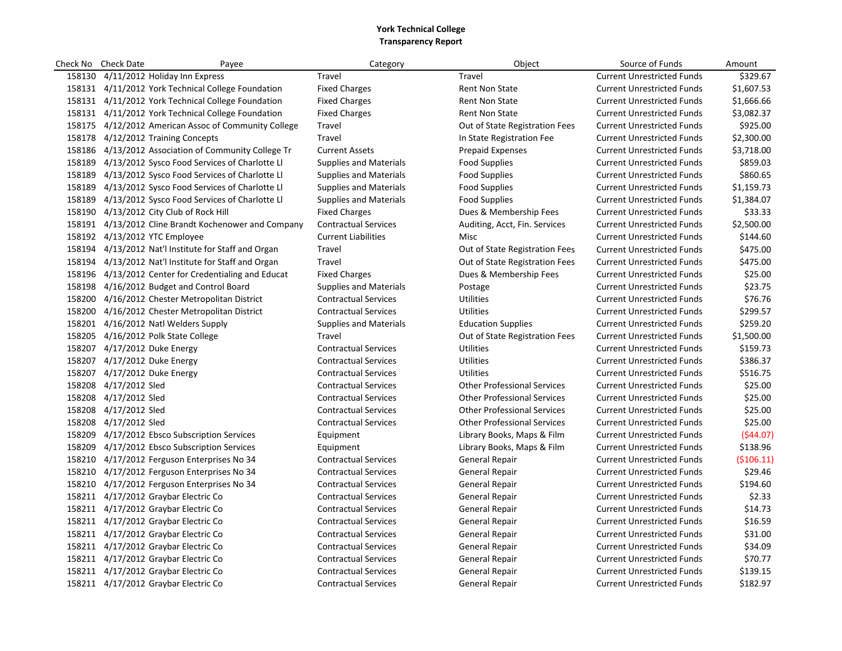| Check No | <b>Check Date</b>            | Payee                                                | Category                      | Object                             | Source of Funds                   | Amount     |
|----------|------------------------------|------------------------------------------------------|-------------------------------|------------------------------------|-----------------------------------|------------|
|          |                              | 158130 4/11/2012 Holiday Inn Express                 | Travel                        | Travel                             | <b>Current Unrestricted Funds</b> | \$329.67   |
|          |                              | 158131 4/11/2012 York Technical College Foundation   | <b>Fixed Charges</b>          | Rent Non State                     | <b>Current Unrestricted Funds</b> | \$1,607.53 |
|          |                              | 158131 4/11/2012 York Technical College Foundation   | <b>Fixed Charges</b>          | <b>Rent Non State</b>              | <b>Current Unrestricted Funds</b> | \$1,666.66 |
|          |                              | 158131 4/11/2012 York Technical College Foundation   | <b>Fixed Charges</b>          | <b>Rent Non State</b>              | <b>Current Unrestricted Funds</b> | \$3,082.37 |
|          |                              | 158175 4/12/2012 American Assoc of Community College | Travel                        | Out of State Registration Fees     | <b>Current Unrestricted Funds</b> | \$925.00   |
|          |                              | 158178 4/12/2012 Training Concepts                   | Travel                        | In State Registration Fee          | <b>Current Unrestricted Funds</b> | \$2,300.00 |
| 158186   |                              | 4/13/2012 Association of Community College Tr        | <b>Current Assets</b>         | <b>Prepaid Expenses</b>            | <b>Current Unrestricted Funds</b> | \$3,718.00 |
|          |                              | 158189 4/13/2012 Sysco Food Services of Charlotte Ll | <b>Supplies and Materials</b> | <b>Food Supplies</b>               | <b>Current Unrestricted Funds</b> | \$859.03   |
|          |                              | 158189 4/13/2012 Sysco Food Services of Charlotte LI | <b>Supplies and Materials</b> | <b>Food Supplies</b>               | <b>Current Unrestricted Funds</b> | \$860.65   |
|          |                              | 158189 4/13/2012 Sysco Food Services of Charlotte LI | <b>Supplies and Materials</b> | <b>Food Supplies</b>               | <b>Current Unrestricted Funds</b> | \$1,159.73 |
|          |                              | 158189 4/13/2012 Sysco Food Services of Charlotte LI | <b>Supplies and Materials</b> | <b>Food Supplies</b>               | <b>Current Unrestricted Funds</b> | \$1,384.07 |
|          |                              | 158190 4/13/2012 City Club of Rock Hill              | <b>Fixed Charges</b>          | Dues & Membership Fees             | <b>Current Unrestricted Funds</b> | \$33.33    |
|          |                              | 158191 4/13/2012 Cline Brandt Kochenower and Company | <b>Contractual Services</b>   | Auditing, Acct, Fin. Services      | <b>Current Unrestricted Funds</b> | \$2,500.00 |
|          |                              | 158192 4/13/2012 YTC Employee                        | <b>Current Liabilities</b>    | Misc                               | <b>Current Unrestricted Funds</b> | \$144.60   |
|          |                              | 158194 4/13/2012 Nat'l Institute for Staff and Organ | Travel                        | Out of State Registration Fees     | <b>Current Unrestricted Funds</b> | \$475.00   |
|          |                              | 158194 4/13/2012 Nat'l Institute for Staff and Organ | Travel                        | Out of State Registration Fees     | <b>Current Unrestricted Funds</b> | \$475.00   |
|          |                              | 158196 4/13/2012 Center for Credentialing and Educat | <b>Fixed Charges</b>          | Dues & Membership Fees             | <b>Current Unrestricted Funds</b> | \$25.00    |
|          |                              | 158198 4/16/2012 Budget and Control Board            | Supplies and Materials        | Postage                            | <b>Current Unrestricted Funds</b> | \$23.75    |
|          |                              | 158200 4/16/2012 Chester Metropolitan District       | <b>Contractual Services</b>   | <b>Utilities</b>                   | <b>Current Unrestricted Funds</b> | \$76.76    |
|          |                              | 158200 4/16/2012 Chester Metropolitan District       | <b>Contractual Services</b>   | <b>Utilities</b>                   | <b>Current Unrestricted Funds</b> | \$299.57   |
|          |                              | 158201 4/16/2012 Natl Welders Supply                 | <b>Supplies and Materials</b> | <b>Education Supplies</b>          | <b>Current Unrestricted Funds</b> | \$259.20   |
|          |                              | 158205 4/16/2012 Polk State College                  | Travel                        | Out of State Registration Fees     | <b>Current Unrestricted Funds</b> | \$1,500.00 |
|          | 158207 4/17/2012 Duke Energy |                                                      | <b>Contractual Services</b>   | <b>Utilities</b>                   | <b>Current Unrestricted Funds</b> | \$159.73   |
|          | 158207 4/17/2012 Duke Energy |                                                      | <b>Contractual Services</b>   | <b>Utilities</b>                   | <b>Current Unrestricted Funds</b> | \$386.37   |
|          | 158207 4/17/2012 Duke Energy |                                                      | <b>Contractual Services</b>   | <b>Utilities</b>                   | <b>Current Unrestricted Funds</b> | \$516.75   |
|          | 158208 4/17/2012 Sled        |                                                      | <b>Contractual Services</b>   | <b>Other Professional Services</b> | <b>Current Unrestricted Funds</b> | \$25.00    |
|          | 158208 4/17/2012 Sled        |                                                      | <b>Contractual Services</b>   | <b>Other Professional Services</b> | <b>Current Unrestricted Funds</b> | \$25.00    |
|          | 158208 4/17/2012 Sled        |                                                      | <b>Contractual Services</b>   | <b>Other Professional Services</b> | <b>Current Unrestricted Funds</b> | \$25.00    |
|          | 158208 4/17/2012 Sled        |                                                      | <b>Contractual Services</b>   | <b>Other Professional Services</b> | <b>Current Unrestricted Funds</b> | \$25.00    |
|          |                              | 158209 4/17/2012 Ebsco Subscription Services         | Equipment                     | Library Books, Maps & Film         | <b>Current Unrestricted Funds</b> | (544.07)   |
|          |                              | 158209 4/17/2012 Ebsco Subscription Services         | Equipment                     | Library Books, Maps & Film         | <b>Current Unrestricted Funds</b> | \$138.96   |
|          |                              | 158210 4/17/2012 Ferguson Enterprises No 34          | <b>Contractual Services</b>   | General Repair                     | <b>Current Unrestricted Funds</b> | (5106.11)  |
|          |                              | 158210 4/17/2012 Ferguson Enterprises No 34          | <b>Contractual Services</b>   | <b>General Repair</b>              | <b>Current Unrestricted Funds</b> | \$29.46    |
|          |                              | 158210 4/17/2012 Ferguson Enterprises No 34          | <b>Contractual Services</b>   | General Repair                     | <b>Current Unrestricted Funds</b> | \$194.60   |
|          |                              | 158211 4/17/2012 Graybar Electric Co                 | <b>Contractual Services</b>   | General Repair                     | <b>Current Unrestricted Funds</b> | \$2.33     |
|          |                              | 158211 4/17/2012 Graybar Electric Co                 | <b>Contractual Services</b>   | General Repair                     | <b>Current Unrestricted Funds</b> | \$14.73    |
|          |                              | 158211 4/17/2012 Graybar Electric Co                 | <b>Contractual Services</b>   | General Repair                     | <b>Current Unrestricted Funds</b> | \$16.59    |
|          |                              | 158211 4/17/2012 Graybar Electric Co                 | <b>Contractual Services</b>   | <b>General Repair</b>              | <b>Current Unrestricted Funds</b> | \$31.00    |
|          |                              | 158211 4/17/2012 Graybar Electric Co                 | <b>Contractual Services</b>   | <b>General Repair</b>              | <b>Current Unrestricted Funds</b> | \$34.09    |
|          |                              | 158211 4/17/2012 Graybar Electric Co                 | <b>Contractual Services</b>   | <b>General Repair</b>              | <b>Current Unrestricted Funds</b> | \$70.77    |
|          |                              | 158211 4/17/2012 Graybar Electric Co                 | <b>Contractual Services</b>   | <b>General Repair</b>              | <b>Current Unrestricted Funds</b> | \$139.15   |
|          |                              | 158211 4/17/2012 Graybar Electric Co                 | <b>Contractual Services</b>   | <b>General Repair</b>              | <b>Current Unrestricted Funds</b> | \$182.97   |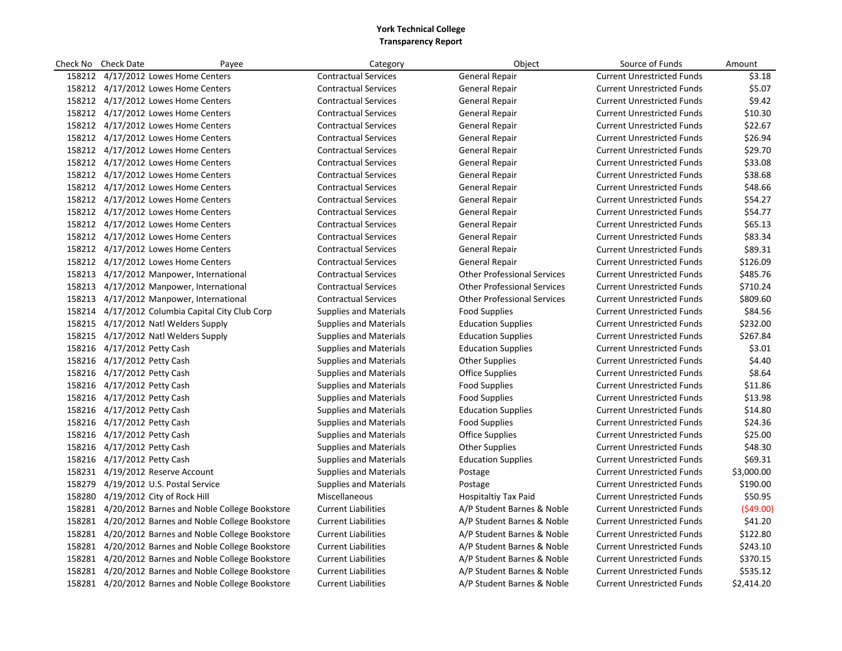| Check No | <b>Check Date</b><br>Payee                          | Category                      | Object                             | Source of Funds                   | Amount     |
|----------|-----------------------------------------------------|-------------------------------|------------------------------------|-----------------------------------|------------|
|          | 158212 4/17/2012 Lowes Home Centers                 | <b>Contractual Services</b>   | <b>General Repair</b>              | <b>Current Unrestricted Funds</b> | \$3.18     |
|          | 158212 4/17/2012 Lowes Home Centers                 | <b>Contractual Services</b>   | <b>General Repair</b>              | <b>Current Unrestricted Funds</b> | \$5.07     |
|          | 158212 4/17/2012 Lowes Home Centers                 | <b>Contractual Services</b>   | <b>General Repair</b>              | <b>Current Unrestricted Funds</b> | \$9.42     |
|          | 158212 4/17/2012 Lowes Home Centers                 | <b>Contractual Services</b>   | <b>General Repair</b>              | <b>Current Unrestricted Funds</b> | \$10.30    |
|          | 158212 4/17/2012 Lowes Home Centers                 | <b>Contractual Services</b>   | <b>General Repair</b>              | <b>Current Unrestricted Funds</b> | \$22.67    |
|          | 158212 4/17/2012 Lowes Home Centers                 | <b>Contractual Services</b>   | <b>General Repair</b>              | <b>Current Unrestricted Funds</b> | \$26.94    |
|          | 158212 4/17/2012 Lowes Home Centers                 | <b>Contractual Services</b>   | <b>General Repair</b>              | <b>Current Unrestricted Funds</b> | \$29.70    |
|          | 158212 4/17/2012 Lowes Home Centers                 | <b>Contractual Services</b>   | <b>General Repair</b>              | <b>Current Unrestricted Funds</b> | \$33.08    |
|          | 158212 4/17/2012 Lowes Home Centers                 | <b>Contractual Services</b>   | <b>General Repair</b>              | <b>Current Unrestricted Funds</b> | \$38.68    |
|          | 158212 4/17/2012 Lowes Home Centers                 | <b>Contractual Services</b>   | General Repair                     | <b>Current Unrestricted Funds</b> | \$48.66    |
|          | 158212 4/17/2012 Lowes Home Centers                 | <b>Contractual Services</b>   | General Repair                     | <b>Current Unrestricted Funds</b> | \$54.27    |
|          | 158212 4/17/2012 Lowes Home Centers                 | <b>Contractual Services</b>   | General Repair                     | <b>Current Unrestricted Funds</b> | \$54.77    |
|          | 158212 4/17/2012 Lowes Home Centers                 | <b>Contractual Services</b>   | <b>General Repair</b>              | <b>Current Unrestricted Funds</b> | \$65.13    |
|          | 158212 4/17/2012 Lowes Home Centers                 | <b>Contractual Services</b>   | <b>General Repair</b>              | <b>Current Unrestricted Funds</b> | \$83.34    |
|          | 158212 4/17/2012 Lowes Home Centers                 | <b>Contractual Services</b>   | <b>General Repair</b>              | <b>Current Unrestricted Funds</b> | \$89.31    |
|          | 158212 4/17/2012 Lowes Home Centers                 | <b>Contractual Services</b>   | General Repair                     | <b>Current Unrestricted Funds</b> | \$126.09   |
|          | 158213 4/17/2012 Manpower, International            | <b>Contractual Services</b>   | <b>Other Professional Services</b> | <b>Current Unrestricted Funds</b> | \$485.76   |
|          | 158213 4/17/2012 Manpower, International            | <b>Contractual Services</b>   | <b>Other Professional Services</b> | <b>Current Unrestricted Funds</b> | \$710.24   |
|          | 158213 4/17/2012 Manpower, International            | <b>Contractual Services</b>   | <b>Other Professional Services</b> | <b>Current Unrestricted Funds</b> | \$809.60   |
|          | 158214 4/17/2012 Columbia Capital City Club Corp    | <b>Supplies and Materials</b> | <b>Food Supplies</b>               | <b>Current Unrestricted Funds</b> | \$84.56    |
|          | 158215 4/17/2012 Natl Welders Supply                | <b>Supplies and Materials</b> | <b>Education Supplies</b>          | <b>Current Unrestricted Funds</b> | \$232.00   |
|          | 158215 4/17/2012 Natl Welders Supply                | <b>Supplies and Materials</b> | <b>Education Supplies</b>          | <b>Current Unrestricted Funds</b> | \$267.84   |
|          | 158216 4/17/2012 Petty Cash                         | <b>Supplies and Materials</b> | <b>Education Supplies</b>          | <b>Current Unrestricted Funds</b> | \$3.01     |
|          | 158216 4/17/2012 Petty Cash                         | <b>Supplies and Materials</b> | <b>Other Supplies</b>              | <b>Current Unrestricted Funds</b> | \$4.40     |
|          | 158216 4/17/2012 Petty Cash                         | <b>Supplies and Materials</b> | <b>Office Supplies</b>             | <b>Current Unrestricted Funds</b> | \$8.64     |
|          | 158216 4/17/2012 Petty Cash                         | Supplies and Materials        | Food Supplies                      | <b>Current Unrestricted Funds</b> | \$11.86    |
|          | 158216 4/17/2012 Petty Cash                         | <b>Supplies and Materials</b> | <b>Food Supplies</b>               | <b>Current Unrestricted Funds</b> | \$13.98    |
|          | 158216 4/17/2012 Petty Cash                         | <b>Supplies and Materials</b> | <b>Education Supplies</b>          | <b>Current Unrestricted Funds</b> | \$14.80    |
|          | 158216 4/17/2012 Petty Cash                         | <b>Supplies and Materials</b> | <b>Food Supplies</b>               | <b>Current Unrestricted Funds</b> | \$24.36    |
|          | 158216 4/17/2012 Petty Cash                         | <b>Supplies and Materials</b> | <b>Office Supplies</b>             | <b>Current Unrestricted Funds</b> | \$25.00    |
|          | 158216 4/17/2012 Petty Cash                         | <b>Supplies and Materials</b> | <b>Other Supplies</b>              | <b>Current Unrestricted Funds</b> | \$48.30    |
|          | 158216 4/17/2012 Petty Cash                         | <b>Supplies and Materials</b> | <b>Education Supplies</b>          | <b>Current Unrestricted Funds</b> | \$69.31    |
|          | 158231 4/19/2012 Reserve Account                    | <b>Supplies and Materials</b> | Postage                            | <b>Current Unrestricted Funds</b> | \$3,000.00 |
|          | 158279 4/19/2012 U.S. Postal Service                | <b>Supplies and Materials</b> | Postage                            | <b>Current Unrestricted Funds</b> | \$190.00   |
|          | 158280 4/19/2012 City of Rock Hill                  | Miscellaneous                 | Hospitaltiy Tax Paid               | <b>Current Unrestricted Funds</b> | \$50.95    |
|          | 158281 4/20/2012 Barnes and Noble College Bookstore | <b>Current Liabilities</b>    | A/P Student Barnes & Noble         | <b>Current Unrestricted Funds</b> | (549.00)   |
|          | 158281 4/20/2012 Barnes and Noble College Bookstore | <b>Current Liabilities</b>    | A/P Student Barnes & Noble         | <b>Current Unrestricted Funds</b> | \$41.20    |
|          | 158281 4/20/2012 Barnes and Noble College Bookstore | <b>Current Liabilities</b>    | A/P Student Barnes & Noble         | <b>Current Unrestricted Funds</b> | \$122.80   |
|          | 158281 4/20/2012 Barnes and Noble College Bookstore | <b>Current Liabilities</b>    | A/P Student Barnes & Noble         | <b>Current Unrestricted Funds</b> | \$243.10   |
|          | 158281 4/20/2012 Barnes and Noble College Bookstore | <b>Current Liabilities</b>    | A/P Student Barnes & Noble         | <b>Current Unrestricted Funds</b> | \$370.15   |
|          | 158281 4/20/2012 Barnes and Noble College Bookstore | <b>Current Liabilities</b>    | A/P Student Barnes & Noble         | <b>Current Unrestricted Funds</b> | \$535.12   |
|          | 158281 4/20/2012 Barnes and Noble College Bookstore | <b>Current Liabilities</b>    | A/P Student Barnes & Noble         | <b>Current Unrestricted Funds</b> | \$2,414.20 |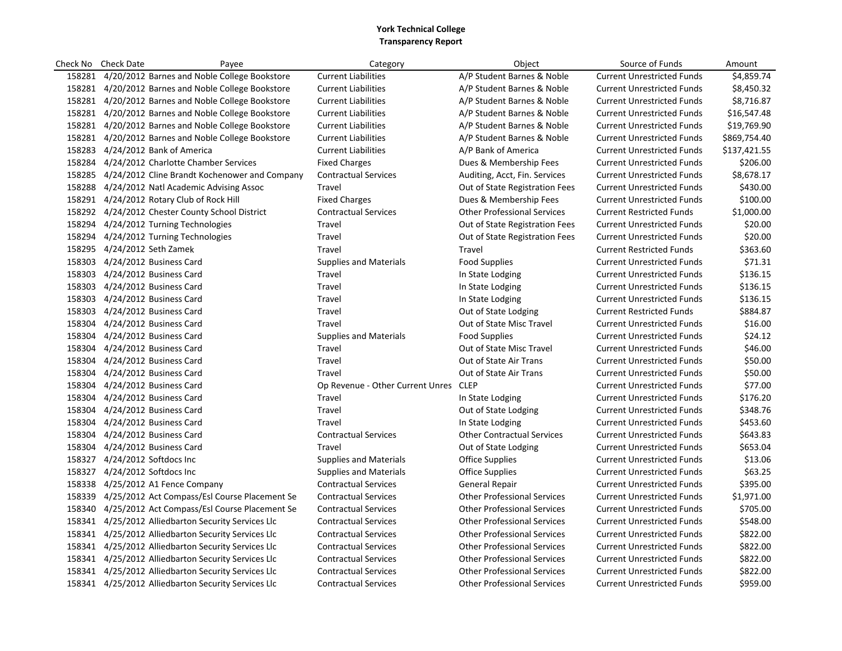|        | Check No Check Date           | Payee                                                | Category                         | Object                             | Source of Funds                   | Amount       |
|--------|-------------------------------|------------------------------------------------------|----------------------------------|------------------------------------|-----------------------------------|--------------|
| 158281 |                               | 4/20/2012 Barnes and Noble College Bookstore         | <b>Current Liabilities</b>       | A/P Student Barnes & Noble         | <b>Current Unrestricted Funds</b> | \$4,859.74   |
|        |                               | 158281 4/20/2012 Barnes and Noble College Bookstore  | <b>Current Liabilities</b>       | A/P Student Barnes & Noble         | <b>Current Unrestricted Funds</b> | \$8,450.32   |
|        |                               | 158281 4/20/2012 Barnes and Noble College Bookstore  | <b>Current Liabilities</b>       | A/P Student Barnes & Noble         | <b>Current Unrestricted Funds</b> | \$8,716.87   |
|        |                               | 158281 4/20/2012 Barnes and Noble College Bookstore  | <b>Current Liabilities</b>       | A/P Student Barnes & Noble         | <b>Current Unrestricted Funds</b> | \$16,547.48  |
|        |                               | 158281 4/20/2012 Barnes and Noble College Bookstore  | <b>Current Liabilities</b>       | A/P Student Barnes & Noble         | <b>Current Unrestricted Funds</b> | \$19,769.90  |
|        |                               | 158281 4/20/2012 Barnes and Noble College Bookstore  | <b>Current Liabilities</b>       | A/P Student Barnes & Noble         | <b>Current Unrestricted Funds</b> | \$869,754.40 |
|        |                               | 158283 4/24/2012 Bank of America                     | <b>Current Liabilities</b>       | A/P Bank of America                | <b>Current Unrestricted Funds</b> | \$137,421.55 |
|        |                               | 158284 4/24/2012 Charlotte Chamber Services          | <b>Fixed Charges</b>             | Dues & Membership Fees             | <b>Current Unrestricted Funds</b> | \$206.00     |
|        |                               | 158285 4/24/2012 Cline Brandt Kochenower and Company | <b>Contractual Services</b>      | Auditing, Acct, Fin. Services      | <b>Current Unrestricted Funds</b> | \$8,678.17   |
|        |                               | 158288 4/24/2012 Natl Academic Advising Assoc        | Travel                           | Out of State Registration Fees     | <b>Current Unrestricted Funds</b> | \$430.00     |
|        |                               | 158291 4/24/2012 Rotary Club of Rock Hill            | <b>Fixed Charges</b>             | Dues & Membership Fees             | <b>Current Unrestricted Funds</b> | \$100.00     |
|        |                               | 158292 4/24/2012 Chester County School District      | <b>Contractual Services</b>      | <b>Other Professional Services</b> | <b>Current Restricted Funds</b>   | \$1,000.00   |
|        |                               | 158294 4/24/2012 Turning Technologies                | Travel                           | Out of State Registration Fees     | <b>Current Unrestricted Funds</b> | \$20.00      |
|        |                               | 158294 4/24/2012 Turning Technologies                | Travel                           | Out of State Registration Fees     | <b>Current Unrestricted Funds</b> | \$20.00      |
|        | 158295 4/24/2012 Seth Zamek   |                                                      | Travel                           | Travel                             | <b>Current Restricted Funds</b>   | \$363.60     |
|        |                               | 158303 4/24/2012 Business Card                       | <b>Supplies and Materials</b>    | <b>Food Supplies</b>               | <b>Current Unrestricted Funds</b> | \$71.31      |
|        |                               | 158303 4/24/2012 Business Card                       | Travel                           | In State Lodging                   | <b>Current Unrestricted Funds</b> | \$136.15     |
|        |                               | 158303 4/24/2012 Business Card                       | Travel                           | In State Lodging                   | <b>Current Unrestricted Funds</b> | \$136.15     |
|        |                               | 158303 4/24/2012 Business Card                       | Travel                           | In State Lodging                   | <b>Current Unrestricted Funds</b> | \$136.15     |
|        |                               | 158303 4/24/2012 Business Card                       | Travel                           | Out of State Lodging               | <b>Current Restricted Funds</b>   | \$884.87     |
|        |                               | 158304 4/24/2012 Business Card                       | Travel                           | Out of State Misc Travel           | <b>Current Unrestricted Funds</b> | \$16.00      |
|        |                               | 158304 4/24/2012 Business Card                       | Supplies and Materials           | <b>Food Supplies</b>               | <b>Current Unrestricted Funds</b> | \$24.12      |
|        |                               | 158304 4/24/2012 Business Card                       | Travel                           | Out of State Misc Travel           | <b>Current Unrestricted Funds</b> | \$46.00      |
|        |                               | 158304 4/24/2012 Business Card                       | Travel                           | Out of State Air Trans             | <b>Current Unrestricted Funds</b> | \$50.00      |
|        |                               | 158304 4/24/2012 Business Card                       | Travel                           | Out of State Air Trans             | <b>Current Unrestricted Funds</b> | \$50.00      |
|        |                               | 158304 4/24/2012 Business Card                       | Op Revenue - Other Current Unres | <b>CLEP</b>                        | <b>Current Unrestricted Funds</b> | \$77.00      |
|        |                               | 158304 4/24/2012 Business Card                       | Travel                           | In State Lodging                   | <b>Current Unrestricted Funds</b> | \$176.20     |
|        |                               | 158304 4/24/2012 Business Card                       | Travel                           | Out of State Lodging               | <b>Current Unrestricted Funds</b> | \$348.76     |
|        |                               | 158304 4/24/2012 Business Card                       | Travel                           | In State Lodging                   | <b>Current Unrestricted Funds</b> | \$453.60     |
|        |                               | 158304 4/24/2012 Business Card                       | <b>Contractual Services</b>      | <b>Other Contractual Services</b>  | <b>Current Unrestricted Funds</b> | \$643.83     |
|        |                               | 158304 4/24/2012 Business Card                       | Travel                           | Out of State Lodging               | <b>Current Unrestricted Funds</b> | \$653.04     |
|        | 158327 4/24/2012 Softdocs Inc |                                                      | <b>Supplies and Materials</b>    | <b>Office Supplies</b>             | <b>Current Unrestricted Funds</b> | \$13.06      |
|        | 158327 4/24/2012 Softdocs Inc |                                                      | <b>Supplies and Materials</b>    | <b>Office Supplies</b>             | <b>Current Unrestricted Funds</b> | \$63.25      |
|        |                               | 158338 4/25/2012 A1 Fence Company                    | <b>Contractual Services</b>      | <b>General Repair</b>              | <b>Current Unrestricted Funds</b> | \$395.00     |
|        |                               | 158339 4/25/2012 Act Compass/Esl Course Placement Se | <b>Contractual Services</b>      | <b>Other Professional Services</b> | <b>Current Unrestricted Funds</b> | \$1,971.00   |
|        |                               | 158340 4/25/2012 Act Compass/Esl Course Placement Se | <b>Contractual Services</b>      | <b>Other Professional Services</b> | <b>Current Unrestricted Funds</b> | \$705.00     |
|        |                               | 158341 4/25/2012 Alliedbarton Security Services Llc  | <b>Contractual Services</b>      | <b>Other Professional Services</b> | <b>Current Unrestricted Funds</b> | \$548.00     |
|        |                               | 158341 4/25/2012 Alliedbarton Security Services Llc  | <b>Contractual Services</b>      | <b>Other Professional Services</b> | <b>Current Unrestricted Funds</b> | \$822.00     |
|        |                               | 158341 4/25/2012 Alliedbarton Security Services Llc  | <b>Contractual Services</b>      | <b>Other Professional Services</b> | <b>Current Unrestricted Funds</b> | \$822.00     |
|        |                               | 158341 4/25/2012 Alliedbarton Security Services Llc  | <b>Contractual Services</b>      | <b>Other Professional Services</b> | <b>Current Unrestricted Funds</b> | \$822.00     |
|        |                               | 158341 4/25/2012 Alliedbarton Security Services Llc  | <b>Contractual Services</b>      | <b>Other Professional Services</b> | <b>Current Unrestricted Funds</b> | \$822.00     |
|        |                               | 158341 4/25/2012 Alliedbarton Security Services Llc  | <b>Contractual Services</b>      | <b>Other Professional Services</b> | <b>Current Unrestricted Funds</b> | \$959.00     |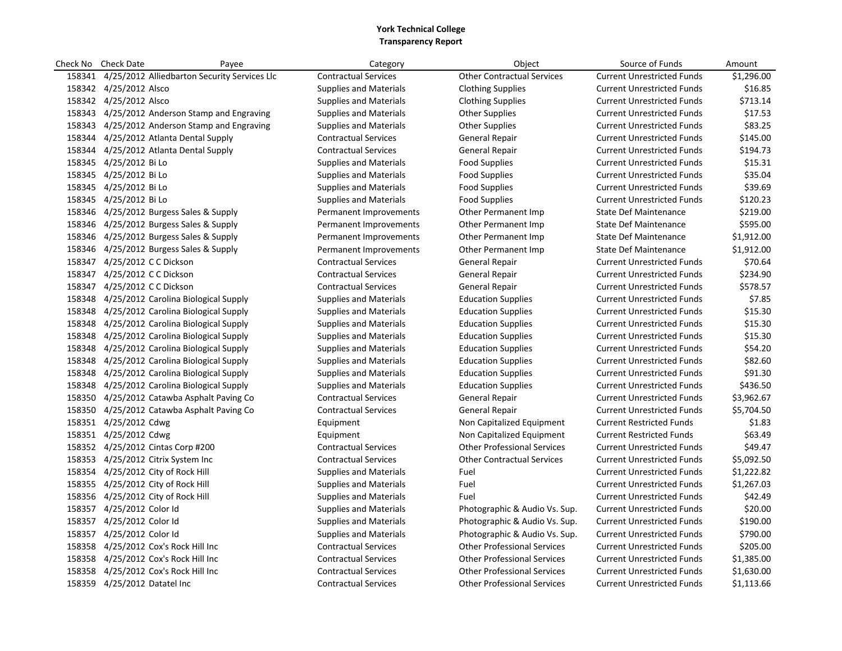| Check No | <b>Check Date</b>                  | Payee                                         | Category                      | Object                             | Source of Funds                   | Amount     |
|----------|------------------------------------|-----------------------------------------------|-------------------------------|------------------------------------|-----------------------------------|------------|
| 158341   |                                    | 4/25/2012 Alliedbarton Security Services Llc  | <b>Contractual Services</b>   | <b>Other Contractual Services</b>  | <b>Current Unrestricted Funds</b> | \$1,296.00 |
|          | 158342 4/25/2012 Alsco             |                                               | <b>Supplies and Materials</b> | <b>Clothing Supplies</b>           | <b>Current Unrestricted Funds</b> | \$16.85    |
|          | 158342 4/25/2012 Alsco             |                                               | <b>Supplies and Materials</b> | <b>Clothing Supplies</b>           | <b>Current Unrestricted Funds</b> | \$713.14   |
| 158343   |                                    | 4/25/2012 Anderson Stamp and Engraving        | <b>Supplies and Materials</b> | <b>Other Supplies</b>              | <b>Current Unrestricted Funds</b> | \$17.53    |
|          |                                    | 158343 4/25/2012 Anderson Stamp and Engraving | <b>Supplies and Materials</b> | <b>Other Supplies</b>              | <b>Current Unrestricted Funds</b> | \$83.25    |
| 158344   |                                    | 4/25/2012 Atlanta Dental Supply               | <b>Contractual Services</b>   | <b>General Repair</b>              | <b>Current Unrestricted Funds</b> | \$145.00   |
| 158344   |                                    | 4/25/2012 Atlanta Dental Supply               | <b>Contractual Services</b>   | <b>General Repair</b>              | <b>Current Unrestricted Funds</b> | \$194.73   |
| 158345   | 4/25/2012 Bi Lo                    |                                               | <b>Supplies and Materials</b> | <b>Food Supplies</b>               | <b>Current Unrestricted Funds</b> | \$15.31    |
|          | 158345 4/25/2012 Bi Lo             |                                               | <b>Supplies and Materials</b> | <b>Food Supplies</b>               | <b>Current Unrestricted Funds</b> | \$35.04    |
| 158345   | 4/25/2012 Bi Lo                    |                                               | <b>Supplies and Materials</b> | <b>Food Supplies</b>               | <b>Current Unrestricted Funds</b> | \$39.69    |
|          | 158345 4/25/2012 Bi Lo             |                                               | <b>Supplies and Materials</b> | <b>Food Supplies</b>               | <b>Current Unrestricted Funds</b> | \$120.23   |
| 158346   |                                    | 4/25/2012 Burgess Sales & Supply              | Permanent Improvements        | <b>Other Permanent Imp</b>         | <b>State Def Maintenance</b>      | \$219.00   |
|          |                                    | 158346 4/25/2012 Burgess Sales & Supply       | Permanent Improvements        | Other Permanent Imp                | <b>State Def Maintenance</b>      | \$595.00   |
| 158346   |                                    | 4/25/2012 Burgess Sales & Supply              | Permanent Improvements        | <b>Other Permanent Imp</b>         | <b>State Def Maintenance</b>      | \$1,912.00 |
| 158346   |                                    | 4/25/2012 Burgess Sales & Supply              | Permanent Improvements        | <b>Other Permanent Imp</b>         | <b>State Def Maintenance</b>      | \$1,912.00 |
| 158347   | 4/25/2012 C C Dickson              |                                               | <b>Contractual Services</b>   | <b>General Repair</b>              | <b>Current Unrestricted Funds</b> | \$70.64    |
|          | 158347 4/25/2012 C C Dickson       |                                               | <b>Contractual Services</b>   | <b>General Repair</b>              | <b>Current Unrestricted Funds</b> | \$234.90   |
| 158347   | 4/25/2012 C C Dickson              |                                               | <b>Contractual Services</b>   | <b>General Repair</b>              | <b>Current Unrestricted Funds</b> | \$578.57   |
| 158348   |                                    | 4/25/2012 Carolina Biological Supply          | <b>Supplies and Materials</b> | <b>Education Supplies</b>          | <b>Current Unrestricted Funds</b> | \$7.85     |
| 158348   |                                    | 4/25/2012 Carolina Biological Supply          | <b>Supplies and Materials</b> | <b>Education Supplies</b>          | <b>Current Unrestricted Funds</b> | \$15.30    |
| 158348   |                                    | 4/25/2012 Carolina Biological Supply          | <b>Supplies and Materials</b> | <b>Education Supplies</b>          | <b>Current Unrestricted Funds</b> | \$15.30    |
| 158348   |                                    | 4/25/2012 Carolina Biological Supply          | <b>Supplies and Materials</b> | <b>Education Supplies</b>          | <b>Current Unrestricted Funds</b> | \$15.30    |
| 158348   |                                    | 4/25/2012 Carolina Biological Supply          | <b>Supplies and Materials</b> | <b>Education Supplies</b>          | <b>Current Unrestricted Funds</b> | \$54.20    |
| 158348   |                                    | 4/25/2012 Carolina Biological Supply          | <b>Supplies and Materials</b> | <b>Education Supplies</b>          | <b>Current Unrestricted Funds</b> | \$82.60    |
|          |                                    | 158348 4/25/2012 Carolina Biological Supply   | <b>Supplies and Materials</b> | <b>Education Supplies</b>          | <b>Current Unrestricted Funds</b> | \$91.30    |
| 158348   |                                    | 4/25/2012 Carolina Biological Supply          | <b>Supplies and Materials</b> | <b>Education Supplies</b>          | <b>Current Unrestricted Funds</b> | \$436.50   |
|          |                                    | 158350 4/25/2012 Catawba Asphalt Paving Co    | <b>Contractual Services</b>   | <b>General Repair</b>              | <b>Current Unrestricted Funds</b> | \$3,962.67 |
| 158350   |                                    | 4/25/2012 Catawba Asphalt Paving Co           | <b>Contractual Services</b>   | <b>General Repair</b>              | <b>Current Unrestricted Funds</b> | \$5,704.50 |
|          | 158351 4/25/2012 Cdwg              |                                               | Equipment                     | Non Capitalized Equipment          | <b>Current Restricted Funds</b>   | \$1.83     |
|          | 158351 4/25/2012 Cdwg              |                                               | Equipment                     | Non Capitalized Equipment          | <b>Current Restricted Funds</b>   | \$63.49    |
|          |                                    | 158352 4/25/2012 Cintas Corp #200             | <b>Contractual Services</b>   | <b>Other Professional Services</b> | <b>Current Unrestricted Funds</b> | \$49.47    |
| 158353   |                                    | 4/25/2012 Citrix System Inc                   | <b>Contractual Services</b>   | <b>Other Contractual Services</b>  | <b>Current Unrestricted Funds</b> | \$5,092.50 |
|          | 158354 4/25/2012 City of Rock Hill |                                               | <b>Supplies and Materials</b> | Fuel                               | <b>Current Unrestricted Funds</b> | \$1,222.82 |
| 158355   |                                    | 4/25/2012 City of Rock Hill                   | <b>Supplies and Materials</b> | Fuel                               | <b>Current Unrestricted Funds</b> | \$1,267.03 |
|          | 158356 4/25/2012 City of Rock Hill |                                               | <b>Supplies and Materials</b> | Fuel                               | <b>Current Unrestricted Funds</b> | \$42.49    |
|          | 158357 4/25/2012 Color Id          |                                               | <b>Supplies and Materials</b> | Photographic & Audio Vs. Sup.      | <b>Current Unrestricted Funds</b> | \$20.00    |
|          | 158357 4/25/2012 Color Id          |                                               | Supplies and Materials        | Photographic & Audio Vs. Sup.      | <b>Current Unrestricted Funds</b> | \$190.00   |
| 158357   | 4/25/2012 Color Id                 |                                               | <b>Supplies and Materials</b> | Photographic & Audio Vs. Sup.      | <b>Current Unrestricted Funds</b> | \$790.00   |
|          |                                    | 158358 4/25/2012 Cox's Rock Hill Inc          | <b>Contractual Services</b>   | <b>Other Professional Services</b> | <b>Current Unrestricted Funds</b> | \$205.00   |
| 158358   |                                    | 4/25/2012 Cox's Rock Hill Inc                 | <b>Contractual Services</b>   | <b>Other Professional Services</b> | <b>Current Unrestricted Funds</b> | \$1,385.00 |
|          |                                    | 158358 4/25/2012 Cox's Rock Hill Inc          | <b>Contractual Services</b>   | <b>Other Professional Services</b> | <b>Current Unrestricted Funds</b> | \$1,630.00 |
| 158359   | 4/25/2012 Datatel Inc              |                                               | <b>Contractual Services</b>   | <b>Other Professional Services</b> | <b>Current Unrestricted Funds</b> | \$1,113.66 |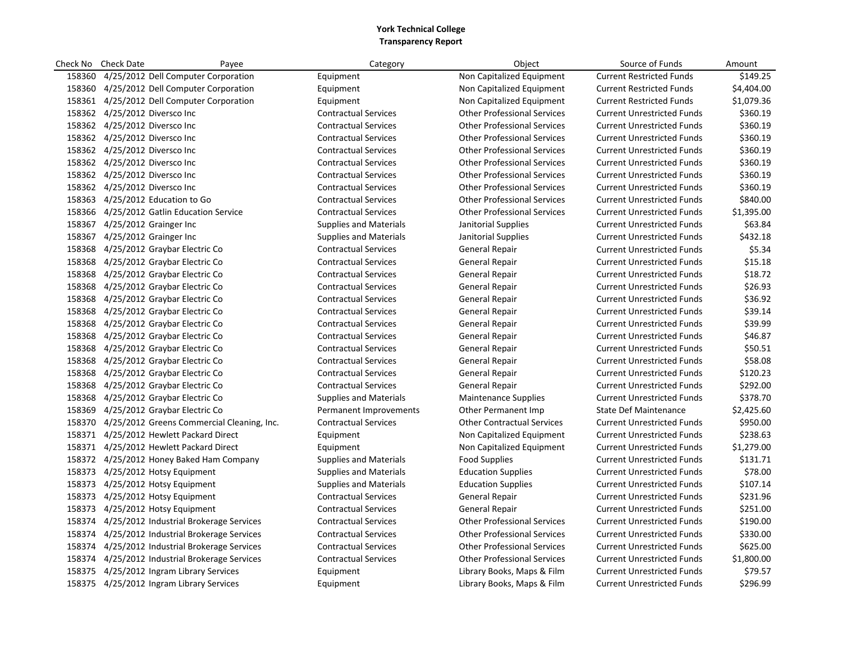| Check No | <b>Check Date</b>                              | Payee                                             | Category                      | Object                             | Source of Funds                   | Amount     |
|----------|------------------------------------------------|---------------------------------------------------|-------------------------------|------------------------------------|-----------------------------------|------------|
| 158360   | 4/25/2012 Dell Computer Corporation            |                                                   | Equipment                     | Non Capitalized Equipment          | <b>Current Restricted Funds</b>   | \$149.25   |
|          | 158360 4/25/2012 Dell Computer Corporation     |                                                   | Equipment                     | Non Capitalized Equipment          | <b>Current Restricted Funds</b>   | \$4,404.00 |
|          | 158361 4/25/2012 Dell Computer Corporation     |                                                   | Equipment                     | Non Capitalized Equipment          | <b>Current Restricted Funds</b>   | \$1,079.36 |
|          | 158362 4/25/2012 Diversco Inc                  |                                                   | <b>Contractual Services</b>   | <b>Other Professional Services</b> | <b>Current Unrestricted Funds</b> | \$360.19   |
|          | 158362 4/25/2012 Diversco Inc                  |                                                   | <b>Contractual Services</b>   | <b>Other Professional Services</b> | <b>Current Unrestricted Funds</b> | \$360.19   |
|          | 158362 4/25/2012 Diversco Inc                  |                                                   | <b>Contractual Services</b>   | <b>Other Professional Services</b> | <b>Current Unrestricted Funds</b> | \$360.19   |
|          | 158362 4/25/2012 Diversco Inc                  |                                                   | <b>Contractual Services</b>   | <b>Other Professional Services</b> | <b>Current Unrestricted Funds</b> | \$360.19   |
|          | 158362 4/25/2012 Diversco Inc                  |                                                   | <b>Contractual Services</b>   | <b>Other Professional Services</b> | <b>Current Unrestricted Funds</b> | \$360.19   |
|          | 158362 4/25/2012 Diversco Inc                  |                                                   | <b>Contractual Services</b>   | <b>Other Professional Services</b> | <b>Current Unrestricted Funds</b> | \$360.19   |
|          | 158362 4/25/2012 Diversco Inc                  |                                                   | <b>Contractual Services</b>   | <b>Other Professional Services</b> | <b>Current Unrestricted Funds</b> | \$360.19   |
|          | 158363 4/25/2012 Education to Go               |                                                   | <b>Contractual Services</b>   | <b>Other Professional Services</b> | <b>Current Unrestricted Funds</b> | \$840.00   |
|          | 158366 4/25/2012 Gatlin Education Service      |                                                   | <b>Contractual Services</b>   | <b>Other Professional Services</b> | <b>Current Unrestricted Funds</b> | \$1,395.00 |
|          | 158367 4/25/2012 Grainger Inc                  |                                                   | <b>Supplies and Materials</b> | Janitorial Supplies                | <b>Current Unrestricted Funds</b> | \$63.84    |
|          | 158367 4/25/2012 Grainger Inc                  |                                                   | <b>Supplies and Materials</b> | Janitorial Supplies                | <b>Current Unrestricted Funds</b> | \$432.18   |
|          | 158368 4/25/2012 Graybar Electric Co           |                                                   | <b>Contractual Services</b>   | <b>General Repair</b>              | <b>Current Unrestricted Funds</b> | \$5.34     |
|          | 158368 4/25/2012 Graybar Electric Co           |                                                   | <b>Contractual Services</b>   | General Repair                     | <b>Current Unrestricted Funds</b> | \$15.18    |
|          | 158368 4/25/2012 Graybar Electric Co           |                                                   | <b>Contractual Services</b>   | General Repair                     | <b>Current Unrestricted Funds</b> | \$18.72    |
|          | 158368 4/25/2012 Graybar Electric Co           |                                                   | <b>Contractual Services</b>   | General Repair                     | <b>Current Unrestricted Funds</b> | \$26.93    |
|          | 158368 4/25/2012 Graybar Electric Co           |                                                   | <b>Contractual Services</b>   | <b>General Repair</b>              | <b>Current Unrestricted Funds</b> | \$36.92    |
|          | 158368 4/25/2012 Graybar Electric Co           |                                                   | <b>Contractual Services</b>   | General Repair                     | <b>Current Unrestricted Funds</b> | \$39.14    |
|          | 158368 4/25/2012 Graybar Electric Co           |                                                   | <b>Contractual Services</b>   | General Repair                     | <b>Current Unrestricted Funds</b> | \$39.99    |
|          | 158368 4/25/2012 Graybar Electric Co           |                                                   | <b>Contractual Services</b>   | General Repair                     | <b>Current Unrestricted Funds</b> | \$46.87    |
|          | 158368 4/25/2012 Graybar Electric Co           |                                                   | <b>Contractual Services</b>   | General Repair                     | <b>Current Unrestricted Funds</b> | \$50.51    |
|          | 158368 4/25/2012 Graybar Electric Co           |                                                   | <b>Contractual Services</b>   | General Repair                     | <b>Current Unrestricted Funds</b> | \$58.08    |
|          | 158368 4/25/2012 Graybar Electric Co           |                                                   | <b>Contractual Services</b>   | <b>General Repair</b>              | <b>Current Unrestricted Funds</b> | \$120.23   |
|          | 158368 4/25/2012 Graybar Electric Co           |                                                   | <b>Contractual Services</b>   | <b>General Repair</b>              | <b>Current Unrestricted Funds</b> | \$292.00   |
|          | 158368 4/25/2012 Graybar Electric Co           |                                                   | <b>Supplies and Materials</b> | <b>Maintenance Supplies</b>        | <b>Current Unrestricted Funds</b> | \$378.70   |
|          | 158369 4/25/2012 Graybar Electric Co           |                                                   | Permanent Improvements        | Other Permanent Imp                | <b>State Def Maintenance</b>      | \$2,425.60 |
|          |                                                | 158370 4/25/2012 Greens Commercial Cleaning, Inc. | <b>Contractual Services</b>   | <b>Other Contractual Services</b>  | <b>Current Unrestricted Funds</b> | \$950.00   |
|          | 158371 4/25/2012 Hewlett Packard Direct        |                                                   | Equipment                     | Non Capitalized Equipment          | <b>Current Unrestricted Funds</b> | \$238.63   |
|          | 158371 4/25/2012 Hewlett Packard Direct        |                                                   | Equipment                     | Non Capitalized Equipment          | <b>Current Unrestricted Funds</b> | \$1,279.00 |
|          | 158372 4/25/2012 Honey Baked Ham Company       |                                                   | <b>Supplies and Materials</b> | <b>Food Supplies</b>               | <b>Current Unrestricted Funds</b> | \$131.71   |
|          | 158373 4/25/2012 Hotsy Equipment               |                                                   | <b>Supplies and Materials</b> | <b>Education Supplies</b>          | <b>Current Unrestricted Funds</b> | \$78.00    |
|          | 158373 4/25/2012 Hotsy Equipment               |                                                   | <b>Supplies and Materials</b> | <b>Education Supplies</b>          | <b>Current Unrestricted Funds</b> | \$107.14   |
|          | 158373 4/25/2012 Hotsy Equipment               |                                                   | <b>Contractual Services</b>   | <b>General Repair</b>              | <b>Current Unrestricted Funds</b> | \$231.96   |
| 158373   | 4/25/2012 Hotsy Equipment                      |                                                   | <b>Contractual Services</b>   | General Repair                     | <b>Current Unrestricted Funds</b> | \$251.00   |
|          | 158374 4/25/2012 Industrial Brokerage Services |                                                   | <b>Contractual Services</b>   | <b>Other Professional Services</b> | <b>Current Unrestricted Funds</b> | \$190.00   |
|          | 158374 4/25/2012 Industrial Brokerage Services |                                                   | <b>Contractual Services</b>   | <b>Other Professional Services</b> | <b>Current Unrestricted Funds</b> | \$330.00   |
|          | 158374 4/25/2012 Industrial Brokerage Services |                                                   | <b>Contractual Services</b>   | <b>Other Professional Services</b> | <b>Current Unrestricted Funds</b> | \$625.00   |
|          | 158374 4/25/2012 Industrial Brokerage Services |                                                   | <b>Contractual Services</b>   | <b>Other Professional Services</b> | <b>Current Unrestricted Funds</b> | \$1,800.00 |
|          | 158375 4/25/2012 Ingram Library Services       |                                                   | Equipment                     | Library Books, Maps & Film         | <b>Current Unrestricted Funds</b> | \$79.57    |
|          | 158375 4/25/2012 Ingram Library Services       |                                                   | Equipment                     | Library Books, Maps & Film         | <b>Current Unrestricted Funds</b> | \$296.99   |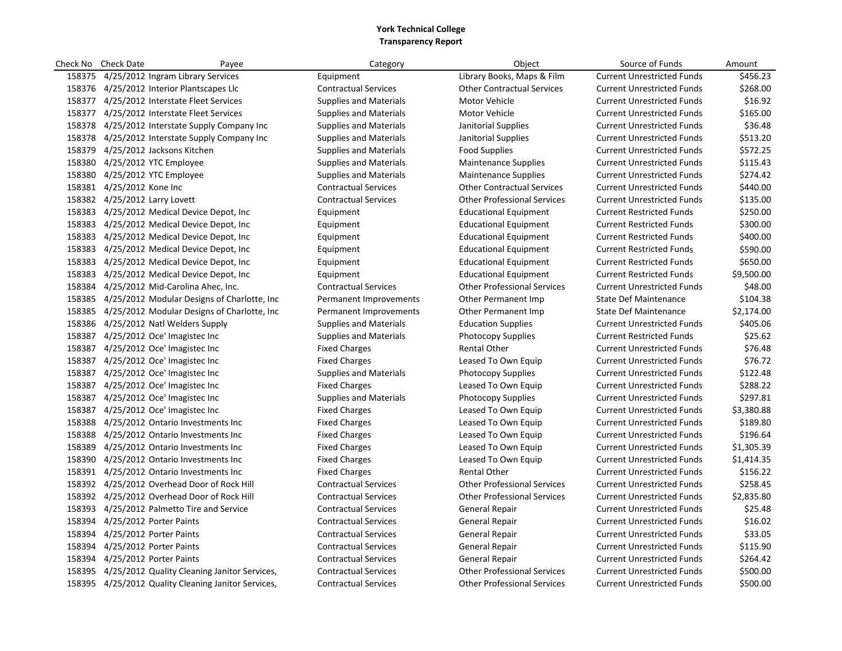|        | Check No Check Date                  | Payee                                               | Category                      | Object                             | Source of Funds                   | Amount     |
|--------|--------------------------------------|-----------------------------------------------------|-------------------------------|------------------------------------|-----------------------------------|------------|
|        |                                      | 158375 4/25/2012 Ingram Library Services            | Equipment                     | Library Books, Maps & Film         | <b>Current Unrestricted Funds</b> | \$456.23   |
|        |                                      | 158376 4/25/2012 Interior Plantscapes Llc           | <b>Contractual Services</b>   | <b>Other Contractual Services</b>  | <b>Current Unrestricted Funds</b> | \$268.00   |
|        |                                      | 158377 4/25/2012 Interstate Fleet Services          | <b>Supplies and Materials</b> | Motor Vehicle                      | <b>Current Unrestricted Funds</b> | \$16.92    |
|        |                                      | 158377 4/25/2012 Interstate Fleet Services          | <b>Supplies and Materials</b> | Motor Vehicle                      | <b>Current Unrestricted Funds</b> | \$165.00   |
|        |                                      | 158378 4/25/2012 Interstate Supply Company Inc      | <b>Supplies and Materials</b> | Janitorial Supplies                | <b>Current Unrestricted Funds</b> | \$36.48    |
|        |                                      | 158378 4/25/2012 Interstate Supply Company Inc      | <b>Supplies and Materials</b> | Janitorial Supplies                | <b>Current Unrestricted Funds</b> | \$513.20   |
|        | 158379 4/25/2012 Jacksons Kitchen    |                                                     | <b>Supplies and Materials</b> | <b>Food Supplies</b>               | <b>Current Unrestricted Funds</b> | \$572.25   |
|        | 158380 4/25/2012 YTC Employee        |                                                     | <b>Supplies and Materials</b> | <b>Maintenance Supplies</b>        | <b>Current Unrestricted Funds</b> | \$115.43   |
|        | 158380 4/25/2012 YTC Employee        |                                                     | <b>Supplies and Materials</b> | <b>Maintenance Supplies</b>        | <b>Current Unrestricted Funds</b> | \$274.42   |
|        | 158381 4/25/2012 Kone Inc            |                                                     | <b>Contractual Services</b>   | <b>Other Contractual Services</b>  | <b>Current Unrestricted Funds</b> | \$440.00   |
|        | 158382 4/25/2012 Larry Lovett        |                                                     | <b>Contractual Services</b>   | <b>Other Professional Services</b> | <b>Current Unrestricted Funds</b> | \$135.00   |
|        |                                      | 158383 4/25/2012 Medical Device Depot, Inc          | Equipment                     | <b>Educational Equipment</b>       | <b>Current Restricted Funds</b>   | \$250.00   |
|        |                                      | 158383 4/25/2012 Medical Device Depot, Inc.         | Equipment                     | <b>Educational Equipment</b>       | <b>Current Restricted Funds</b>   | \$300.00   |
|        |                                      | 158383 4/25/2012 Medical Device Depot, Inc.         | Equipment                     | <b>Educational Equipment</b>       | <b>Current Restricted Funds</b>   | \$400.00   |
|        |                                      | 158383 4/25/2012 Medical Device Depot, Inc.         | Equipment                     | <b>Educational Equipment</b>       | <b>Current Restricted Funds</b>   | \$590.00   |
|        |                                      | 158383 4/25/2012 Medical Device Depot, Inc          | Equipment                     | <b>Educational Equipment</b>       | <b>Current Restricted Funds</b>   | \$650.00   |
|        |                                      | 158383 4/25/2012 Medical Device Depot, Inc          | Equipment                     | <b>Educational Equipment</b>       | <b>Current Restricted Funds</b>   | \$9,500.00 |
|        |                                      | 158384 4/25/2012 Mid-Carolina Ahec, Inc.            | <b>Contractual Services</b>   | <b>Other Professional Services</b> | <b>Current Unrestricted Funds</b> | \$48.00    |
|        |                                      | 158385 4/25/2012 Modular Designs of Charlotte, Inc  | Permanent Improvements        | Other Permanent Imp                | <b>State Def Maintenance</b>      | \$104.38   |
|        |                                      | 158385 4/25/2012 Modular Designs of Charlotte, Inc  | Permanent Improvements        | <b>Other Permanent Imp</b>         | <b>State Def Maintenance</b>      | \$2,174.00 |
|        | 158386 4/25/2012 Natl Welders Supply |                                                     | <b>Supplies and Materials</b> | <b>Education Supplies</b>          | <b>Current Unrestricted Funds</b> | \$405.06   |
|        | 158387 4/25/2012 Oce' Imagistec Inc  |                                                     | <b>Supplies and Materials</b> | <b>Photocopy Supplies</b>          | <b>Current Restricted Funds</b>   | \$25.62    |
|        | 158387 4/25/2012 Oce' Imagistec Inc  |                                                     | <b>Fixed Charges</b>          | <b>Rental Other</b>                | <b>Current Unrestricted Funds</b> | \$76.48    |
|        | 158387 4/25/2012 Oce' Imagistec Inc  |                                                     | <b>Fixed Charges</b>          | Leased To Own Equip                | <b>Current Unrestricted Funds</b> | \$76.72    |
|        | 158387 4/25/2012 Oce' Imagistec Inc  |                                                     | <b>Supplies and Materials</b> | <b>Photocopy Supplies</b>          | <b>Current Unrestricted Funds</b> | \$122.48   |
|        | 158387 4/25/2012 Oce' Imagistec Inc  |                                                     | <b>Fixed Charges</b>          | Leased To Own Equip                | <b>Current Unrestricted Funds</b> | \$288.22   |
|        | 158387 4/25/2012 Oce' Imagistec Inc  |                                                     | <b>Supplies and Materials</b> | <b>Photocopy Supplies</b>          | <b>Current Unrestricted Funds</b> | \$297.81   |
|        | 158387 4/25/2012 Oce' Imagistec Inc  |                                                     | <b>Fixed Charges</b>          | Leased To Own Equip                | <b>Current Unrestricted Funds</b> | \$3,380.88 |
|        |                                      | 158388 4/25/2012 Ontario Investments Inc            | <b>Fixed Charges</b>          | Leased To Own Equip                | <b>Current Unrestricted Funds</b> | \$189.80   |
|        |                                      | 158388 4/25/2012 Ontario Investments Inc            | <b>Fixed Charges</b>          | Leased To Own Equip                | <b>Current Unrestricted Funds</b> | \$196.64   |
| 158389 |                                      | 4/25/2012 Ontario Investments Inc                   | <b>Fixed Charges</b>          | Leased To Own Equip                | <b>Current Unrestricted Funds</b> | \$1,305.39 |
|        |                                      | 158390 4/25/2012 Ontario Investments Inc            | <b>Fixed Charges</b>          | Leased To Own Equip                | <b>Current Unrestricted Funds</b> | \$1,414.35 |
|        |                                      | 158391 4/25/2012 Ontario Investments Inc            | <b>Fixed Charges</b>          | Rental Other                       | <b>Current Unrestricted Funds</b> | \$156.22   |
|        |                                      | 158392 4/25/2012 Overhead Door of Rock Hill         | <b>Contractual Services</b>   | <b>Other Professional Services</b> | <b>Current Unrestricted Funds</b> | \$258.45   |
|        |                                      | 158392 4/25/2012 Overhead Door of Rock Hill         | <b>Contractual Services</b>   | <b>Other Professional Services</b> | <b>Current Unrestricted Funds</b> | \$2,835.80 |
|        |                                      | 158393 4/25/2012 Palmetto Tire and Service          | <b>Contractual Services</b>   | <b>General Repair</b>              | <b>Current Unrestricted Funds</b> | \$25.48    |
|        | 158394 4/25/2012 Porter Paints       |                                                     | <b>Contractual Services</b>   | General Repair                     | <b>Current Unrestricted Funds</b> | \$16.02    |
|        | 158394 4/25/2012 Porter Paints       |                                                     | <b>Contractual Services</b>   | <b>General Repair</b>              | <b>Current Unrestricted Funds</b> | \$33.05    |
|        | 158394 4/25/2012 Porter Paints       |                                                     | <b>Contractual Services</b>   | General Repair                     | <b>Current Unrestricted Funds</b> | \$115.90   |
|        | 158394 4/25/2012 Porter Paints       |                                                     | <b>Contractual Services</b>   | <b>General Repair</b>              | <b>Current Unrestricted Funds</b> | \$264.42   |
|        |                                      | 158395 4/25/2012 Quality Cleaning Janitor Services, | <b>Contractual Services</b>   | <b>Other Professional Services</b> | <b>Current Unrestricted Funds</b> | \$500.00   |
|        |                                      | 158395 4/25/2012 Quality Cleaning Janitor Services, | <b>Contractual Services</b>   | <b>Other Professional Services</b> | <b>Current Unrestricted Funds</b> | \$500.00   |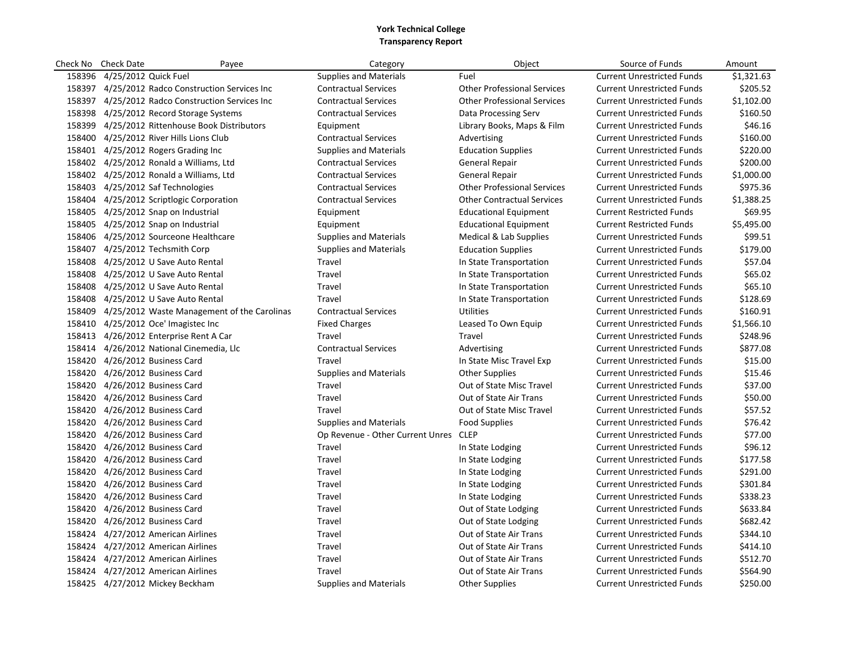| Check No | <b>Check Date</b>                        | Payee                                              | Category                         | Object                             | Source of Funds                   | Amount     |
|----------|------------------------------------------|----------------------------------------------------|----------------------------------|------------------------------------|-----------------------------------|------------|
| 158396   | 4/25/2012 Quick Fuel                     |                                                    | <b>Supplies and Materials</b>    | Fuel                               | <b>Current Unrestricted Funds</b> | \$1,321.63 |
|          |                                          | 158397 4/25/2012 Radco Construction Services Inc   | <b>Contractual Services</b>      | <b>Other Professional Services</b> | <b>Current Unrestricted Funds</b> | \$205.52   |
|          |                                          | 158397 4/25/2012 Radco Construction Services Inc   | <b>Contractual Services</b>      | <b>Other Professional Services</b> | <b>Current Unrestricted Funds</b> | \$1,102.00 |
|          | 158398 4/25/2012 Record Storage Systems  |                                                    | <b>Contractual Services</b>      | Data Processing Serv               | <b>Current Unrestricted Funds</b> | \$160.50   |
|          |                                          | 158399 4/25/2012 Rittenhouse Book Distributors     | Equipment                        | Library Books, Maps & Film         | <b>Current Unrestricted Funds</b> | \$46.16    |
|          | 158400 4/25/2012 River Hills Lions Club  |                                                    | <b>Contractual Services</b>      | Advertising                        | <b>Current Unrestricted Funds</b> | \$160.00   |
|          | 158401 4/25/2012 Rogers Grading Inc      |                                                    | <b>Supplies and Materials</b>    | <b>Education Supplies</b>          | <b>Current Unrestricted Funds</b> | \$220.00   |
|          | 158402 4/25/2012 Ronald a Williams, Ltd  |                                                    | <b>Contractual Services</b>      | <b>General Repair</b>              | <b>Current Unrestricted Funds</b> | \$200.00   |
|          | 158402 4/25/2012 Ronald a Williams, Ltd  |                                                    | <b>Contractual Services</b>      | <b>General Repair</b>              | <b>Current Unrestricted Funds</b> | \$1,000.00 |
|          | 158403 4/25/2012 Saf Technologies        |                                                    | <b>Contractual Services</b>      | <b>Other Professional Services</b> | <b>Current Unrestricted Funds</b> | \$975.36   |
|          | 158404 4/25/2012 Scriptlogic Corporation |                                                    | <b>Contractual Services</b>      | <b>Other Contractual Services</b>  | <b>Current Unrestricted Funds</b> | \$1,388.25 |
|          | 158405 4/25/2012 Snap on Industrial      |                                                    | Equipment                        | <b>Educational Equipment</b>       | <b>Current Restricted Funds</b>   | \$69.95    |
|          | 158405 4/25/2012 Snap on Industrial      |                                                    | Equipment                        | <b>Educational Equipment</b>       | <b>Current Restricted Funds</b>   | \$5,495.00 |
|          | 158406 4/25/2012 Sourceone Healthcare    |                                                    | <b>Supplies and Materials</b>    | Medical & Lab Supplies             | <b>Current Unrestricted Funds</b> | \$99.51    |
|          | 158407 4/25/2012 Techsmith Corp          |                                                    | <b>Supplies and Materials</b>    | <b>Education Supplies</b>          | <b>Current Unrestricted Funds</b> | \$179.00   |
|          | 158408 4/25/2012 U Save Auto Rental      |                                                    | Travel                           | In State Transportation            | <b>Current Unrestricted Funds</b> | \$57.04    |
|          | 158408 4/25/2012 U Save Auto Rental      |                                                    | Travel                           | In State Transportation            | <b>Current Unrestricted Funds</b> | \$65.02    |
|          | 158408 4/25/2012 U Save Auto Rental      |                                                    | Travel                           | In State Transportation            | <b>Current Unrestricted Funds</b> | \$65.10    |
|          | 158408 4/25/2012 U Save Auto Rental      |                                                    | Travel                           | In State Transportation            | <b>Current Unrestricted Funds</b> | \$128.69   |
|          |                                          | 158409 4/25/2012 Waste Management of the Carolinas | <b>Contractual Services</b>      | <b>Utilities</b>                   | <b>Current Unrestricted Funds</b> | \$160.91   |
|          | 158410 4/25/2012 Oce' Imagistec Inc      |                                                    | <b>Fixed Charges</b>             | Leased To Own Equip                | <b>Current Unrestricted Funds</b> | \$1,566.10 |
|          | 158413 4/26/2012 Enterprise Rent A Car   |                                                    | Travel                           | Travel                             | <b>Current Unrestricted Funds</b> | \$248.96   |
|          | 158414 4/26/2012 National Cinemedia, Llc |                                                    | <b>Contractual Services</b>      | Advertising                        | <b>Current Unrestricted Funds</b> | \$877.08   |
|          | 158420 4/26/2012 Business Card           |                                                    | Travel                           | In State Misc Travel Exp           | <b>Current Unrestricted Funds</b> | \$15.00    |
|          | 158420 4/26/2012 Business Card           |                                                    | <b>Supplies and Materials</b>    | <b>Other Supplies</b>              | <b>Current Unrestricted Funds</b> | \$15.46    |
|          | 158420 4/26/2012 Business Card           |                                                    | Travel                           | Out of State Misc Travel           | <b>Current Unrestricted Funds</b> | \$37.00    |
|          | 158420 4/26/2012 Business Card           |                                                    | Travel                           | Out of State Air Trans             | <b>Current Unrestricted Funds</b> | \$50.00    |
|          | 158420 4/26/2012 Business Card           |                                                    | Travel                           | Out of State Misc Travel           | <b>Current Unrestricted Funds</b> | \$57.52    |
|          | 158420 4/26/2012 Business Card           |                                                    | <b>Supplies and Materials</b>    | <b>Food Supplies</b>               | <b>Current Unrestricted Funds</b> | \$76.42    |
|          | 158420 4/26/2012 Business Card           |                                                    | Op Revenue - Other Current Unres | <b>CLEP</b>                        | <b>Current Unrestricted Funds</b> | \$77.00    |
|          | 158420 4/26/2012 Business Card           |                                                    | Travel                           | In State Lodging                   | <b>Current Unrestricted Funds</b> | \$96.12    |
| 158420   | 4/26/2012 Business Card                  |                                                    | Travel                           | In State Lodging                   | <b>Current Unrestricted Funds</b> | \$177.58   |
|          | 158420 4/26/2012 Business Card           |                                                    | Travel                           | In State Lodging                   | <b>Current Unrestricted Funds</b> | \$291.00   |
| 158420   | 4/26/2012 Business Card                  |                                                    | Travel                           | In State Lodging                   | <b>Current Unrestricted Funds</b> | \$301.84   |
|          | 158420 4/26/2012 Business Card           |                                                    | Travel                           | In State Lodging                   | <b>Current Unrestricted Funds</b> | \$338.23   |
| 158420   | 4/26/2012 Business Card                  |                                                    | Travel                           | Out of State Lodging               | <b>Current Unrestricted Funds</b> | \$633.84   |
|          | 158420 4/26/2012 Business Card           |                                                    | Travel                           | Out of State Lodging               | <b>Current Unrestricted Funds</b> | \$682.42   |
|          | 158424 4/27/2012 American Airlines       |                                                    | Travel                           | Out of State Air Trans             | <b>Current Unrestricted Funds</b> | \$344.10   |
|          | 158424 4/27/2012 American Airlines       |                                                    | Travel                           | Out of State Air Trans             | <b>Current Unrestricted Funds</b> | \$414.10   |
| 158424   | 4/27/2012 American Airlines              |                                                    | Travel                           | Out of State Air Trans             | <b>Current Unrestricted Funds</b> | \$512.70   |
|          | 158424 4/27/2012 American Airlines       |                                                    | Travel                           | Out of State Air Trans             | <b>Current Unrestricted Funds</b> | \$564.90   |
|          | 158425 4/27/2012 Mickey Beckham          |                                                    | <b>Supplies and Materials</b>    | <b>Other Supplies</b>              | <b>Current Unrestricted Funds</b> | \$250.00   |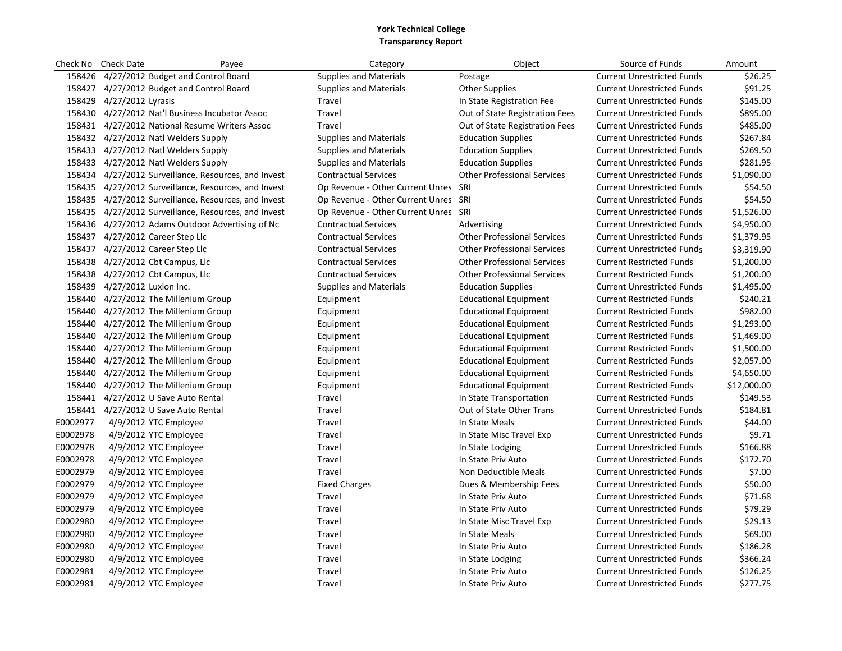| Check No | <b>Check Date</b>            | Payee                                                | Category                             | Object                             | Source of Funds                   | Amount      |
|----------|------------------------------|------------------------------------------------------|--------------------------------------|------------------------------------|-----------------------------------|-------------|
| 158426   |                              | 4/27/2012 Budget and Control Board                   | <b>Supplies and Materials</b>        | Postage                            | <b>Current Unrestricted Funds</b> | \$26.25     |
|          |                              | 158427 4/27/2012 Budget and Control Board            | <b>Supplies and Materials</b>        | <b>Other Supplies</b>              | <b>Current Unrestricted Funds</b> | \$91.25     |
|          | 158429 4/27/2012 Lyrasis     |                                                      | Travel                               | In State Registration Fee          | <b>Current Unrestricted Funds</b> | \$145.00    |
|          |                              | 158430 4/27/2012 Nat'l Business Incubator Assoc      | Travel                               | Out of State Registration Fees     | <b>Current Unrestricted Funds</b> | \$895.00    |
|          |                              | 158431 4/27/2012 National Resume Writers Assoc       | Travel                               | Out of State Registration Fees     | <b>Current Unrestricted Funds</b> | \$485.00    |
|          |                              | 158432 4/27/2012 Natl Welders Supply                 | <b>Supplies and Materials</b>        | <b>Education Supplies</b>          | <b>Current Unrestricted Funds</b> | \$267.84    |
|          |                              | 158433 4/27/2012 Natl Welders Supply                 | <b>Supplies and Materials</b>        | <b>Education Supplies</b>          | <b>Current Unrestricted Funds</b> | \$269.50    |
|          |                              | 158433 4/27/2012 Natl Welders Supply                 | <b>Supplies and Materials</b>        | <b>Education Supplies</b>          | <b>Current Unrestricted Funds</b> | \$281.95    |
|          |                              | 158434 4/27/2012 Surveillance, Resources, and Invest | <b>Contractual Services</b>          | <b>Other Professional Services</b> | <b>Current Unrestricted Funds</b> | \$1,090.00  |
|          |                              | 158435 4/27/2012 Surveillance, Resources, and Invest | Op Revenue - Other Current Unres SRI |                                    | <b>Current Unrestricted Funds</b> | \$54.50     |
|          |                              | 158435 4/27/2012 Surveillance, Resources, and Invest | Op Revenue - Other Current Unres SRI |                                    | <b>Current Unrestricted Funds</b> | \$54.50     |
|          |                              | 158435 4/27/2012 Surveillance, Resources, and Invest | Op Revenue - Other Current Unres SRI |                                    | <b>Current Unrestricted Funds</b> | \$1,526.00  |
|          |                              | 158436 4/27/2012 Adams Outdoor Advertising of Nc     | <b>Contractual Services</b>          | Advertising                        | <b>Current Unrestricted Funds</b> | \$4,950.00  |
|          |                              | 158437 4/27/2012 Career Step Llc                     | <b>Contractual Services</b>          | <b>Other Professional Services</b> | <b>Current Unrestricted Funds</b> | \$1,379.95  |
|          |                              | 158437 4/27/2012 Career Step Llc                     | <b>Contractual Services</b>          | <b>Other Professional Services</b> | <b>Current Unrestricted Funds</b> | \$3,319.90  |
| 158438   |                              | 4/27/2012 Cbt Campus, Llc                            | <b>Contractual Services</b>          | <b>Other Professional Services</b> | <b>Current Restricted Funds</b>   | \$1,200.00  |
|          |                              | 158438 4/27/2012 Cbt Campus, Llc                     | <b>Contractual Services</b>          | <b>Other Professional Services</b> | <b>Current Restricted Funds</b>   | \$1,200.00  |
|          | 158439 4/27/2012 Luxion Inc. |                                                      | <b>Supplies and Materials</b>        | <b>Education Supplies</b>          | <b>Current Unrestricted Funds</b> | \$1,495.00  |
|          |                              | 158440 4/27/2012 The Millenium Group                 | Equipment                            | Educational Equipment              | <b>Current Restricted Funds</b>   | \$240.21    |
| 158440   |                              | 4/27/2012 The Millenium Group                        | Equipment                            | Educational Equipment              | <b>Current Restricted Funds</b>   | \$982.00    |
|          |                              | 158440 4/27/2012 The Millenium Group                 | Equipment                            | <b>Educational Equipment</b>       | <b>Current Restricted Funds</b>   | \$1,293.00  |
|          |                              | 158440 4/27/2012 The Millenium Group                 | Equipment                            | <b>Educational Equipment</b>       | <b>Current Restricted Funds</b>   | \$1,469.00  |
|          |                              | 158440 4/27/2012 The Millenium Group                 | Equipment                            | <b>Educational Equipment</b>       | <b>Current Restricted Funds</b>   | \$1,500.00  |
| 158440   |                              | 4/27/2012 The Millenium Group                        | Equipment                            | <b>Educational Equipment</b>       | <b>Current Restricted Funds</b>   | \$2,057.00  |
| 158440   |                              | 4/27/2012 The Millenium Group                        | Equipment                            | <b>Educational Equipment</b>       | <b>Current Restricted Funds</b>   | \$4,650.00  |
| 158440   |                              | 4/27/2012 The Millenium Group                        | Equipment                            | <b>Educational Equipment</b>       | <b>Current Restricted Funds</b>   | \$12,000.00 |
|          |                              | 158441 4/27/2012 U Save Auto Rental                  | Travel                               | In State Transportation            | <b>Current Restricted Funds</b>   | \$149.53    |
|          |                              | 158441 4/27/2012 U Save Auto Rental                  | Travel                               | Out of State Other Trans           | <b>Current Unrestricted Funds</b> | \$184.81    |
| E0002977 |                              | 4/9/2012 YTC Employee                                | Travel                               | In State Meals                     | <b>Current Unrestricted Funds</b> | \$44.00     |
| E0002978 |                              | 4/9/2012 YTC Employee                                | Travel                               | In State Misc Travel Exp           | <b>Current Unrestricted Funds</b> | \$9.71      |
| E0002978 |                              | 4/9/2012 YTC Employee                                | Travel                               | In State Lodging                   | <b>Current Unrestricted Funds</b> | \$166.88    |
| E0002978 |                              | 4/9/2012 YTC Employee                                | Travel                               | In State Priv Auto                 | <b>Current Unrestricted Funds</b> | \$172.70    |
| E0002979 |                              | 4/9/2012 YTC Employee                                | Travel                               | Non Deductible Meals               | <b>Current Unrestricted Funds</b> | \$7.00      |
| E0002979 |                              | 4/9/2012 YTC Employee                                | <b>Fixed Charges</b>                 | Dues & Membership Fees             | <b>Current Unrestricted Funds</b> | \$50.00     |
| E0002979 |                              | 4/9/2012 YTC Employee                                | Travel                               | In State Priv Auto                 | <b>Current Unrestricted Funds</b> | \$71.68     |
| E0002979 |                              | 4/9/2012 YTC Employee                                | Travel                               | In State Priv Auto                 | <b>Current Unrestricted Funds</b> | \$79.29     |
| E0002980 |                              | 4/9/2012 YTC Employee                                | Travel                               | In State Misc Travel Exp           | <b>Current Unrestricted Funds</b> | \$29.13     |
| E0002980 |                              | 4/9/2012 YTC Employee                                | Travel                               | In State Meals                     | <b>Current Unrestricted Funds</b> | \$69.00     |
| E0002980 |                              | 4/9/2012 YTC Employee                                | Travel                               | In State Priv Auto                 | <b>Current Unrestricted Funds</b> | \$186.28    |
| E0002980 |                              | 4/9/2012 YTC Employee                                | Travel                               | In State Lodging                   | <b>Current Unrestricted Funds</b> | \$366.24    |
| E0002981 |                              | 4/9/2012 YTC Employee                                | Travel                               | In State Priv Auto                 | <b>Current Unrestricted Funds</b> | \$126.25    |
| E0002981 |                              | 4/9/2012 YTC Employee                                | Travel                               | In State Priv Auto                 | <b>Current Unrestricted Funds</b> | \$277.75    |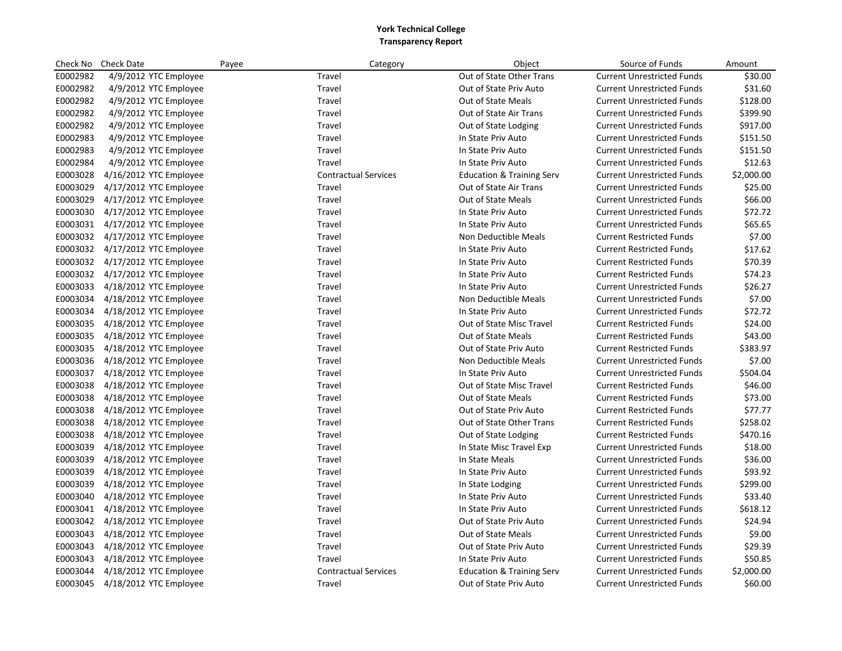| Check No | <b>Check Date</b>      | Payee | Category                    | Object                               | Source of Funds                   | Amount     |
|----------|------------------------|-------|-----------------------------|--------------------------------------|-----------------------------------|------------|
| E0002982 | 4/9/2012 YTC Employee  |       | Travel                      | Out of State Other Trans             | <b>Current Unrestricted Funds</b> | \$30.00    |
| E0002982 | 4/9/2012 YTC Employee  |       | Travel                      | Out of State Priv Auto               | <b>Current Unrestricted Funds</b> | \$31.60    |
| E0002982 | 4/9/2012 YTC Employee  |       | Travel                      | <b>Out of State Meals</b>            | <b>Current Unrestricted Funds</b> | \$128.00   |
| E0002982 | 4/9/2012 YTC Employee  |       | Travel                      | Out of State Air Trans               | <b>Current Unrestricted Funds</b> | \$399.90   |
| E0002982 | 4/9/2012 YTC Employee  |       | Travel                      | Out of State Lodging                 | <b>Current Unrestricted Funds</b> | \$917.00   |
| E0002983 | 4/9/2012 YTC Employee  |       | Travel                      | In State Priv Auto                   | <b>Current Unrestricted Funds</b> | \$151.50   |
| E0002983 | 4/9/2012 YTC Employee  |       | Travel                      | In State Priv Auto                   | <b>Current Unrestricted Funds</b> | \$151.50   |
| E0002984 | 4/9/2012 YTC Employee  |       | Travel                      | In State Priv Auto                   | <b>Current Unrestricted Funds</b> | \$12.63    |
| E0003028 | 4/16/2012 YTC Employee |       | <b>Contractual Services</b> | <b>Education &amp; Training Serv</b> | <b>Current Unrestricted Funds</b> | \$2,000.00 |
| E0003029 | 4/17/2012 YTC Employee |       | Travel                      | Out of State Air Trans               | <b>Current Unrestricted Funds</b> | \$25.00    |
| E0003029 | 4/17/2012 YTC Employee |       | Travel                      | <b>Out of State Meals</b>            | <b>Current Unrestricted Funds</b> | \$66.00    |
| E0003030 | 4/17/2012 YTC Employee |       | Travel                      | In State Priv Auto                   | <b>Current Unrestricted Funds</b> | \$72.72    |
| E0003031 | 4/17/2012 YTC Employee |       | Travel                      | In State Priv Auto                   | <b>Current Unrestricted Funds</b> | \$65.65    |
| E0003032 | 4/17/2012 YTC Employee |       | Travel                      | Non Deductible Meals                 | <b>Current Restricted Funds</b>   | \$7.00     |
| E0003032 | 4/17/2012 YTC Employee |       | Travel                      | In State Priv Auto                   | <b>Current Restricted Funds</b>   | \$17.62    |
| E0003032 | 4/17/2012 YTC Employee |       | Travel                      | In State Priv Auto                   | <b>Current Restricted Funds</b>   | \$70.39    |
| E0003032 | 4/17/2012 YTC Employee |       | Travel                      | In State Priv Auto                   | <b>Current Restricted Funds</b>   | \$74.23    |
| E0003033 | 4/18/2012 YTC Employee |       | Travel                      | In State Priv Auto                   | <b>Current Unrestricted Funds</b> | \$26.27    |
| E0003034 | 4/18/2012 YTC Employee |       | Travel                      | Non Deductible Meals                 | <b>Current Unrestricted Funds</b> | \$7.00     |
| E0003034 | 4/18/2012 YTC Employee |       | Travel                      | In State Priv Auto                   | <b>Current Unrestricted Funds</b> | \$72.72    |
| E0003035 | 4/18/2012 YTC Employee |       | Travel                      | Out of State Misc Travel             | <b>Current Restricted Funds</b>   | \$24.00    |
| E0003035 | 4/18/2012 YTC Employee |       | Travel                      | <b>Out of State Meals</b>            | <b>Current Restricted Funds</b>   | \$43.00    |
| E0003035 | 4/18/2012 YTC Employee |       | Travel                      | Out of State Priv Auto               | <b>Current Restricted Funds</b>   | \$383.97   |
| E0003036 | 4/18/2012 YTC Employee |       | Travel                      | Non Deductible Meals                 | <b>Current Unrestricted Funds</b> | \$7.00     |
| E0003037 | 4/18/2012 YTC Employee |       | Travel                      | In State Priv Auto                   | <b>Current Unrestricted Funds</b> | \$504.04   |
| E0003038 | 4/18/2012 YTC Employee |       | Travel                      | Out of State Misc Travel             | <b>Current Restricted Funds</b>   | \$46.00    |
| E0003038 | 4/18/2012 YTC Employee |       | Travel                      | Out of State Meals                   | <b>Current Restricted Funds</b>   | \$73.00    |
| E0003038 | 4/18/2012 YTC Employee |       | Travel                      | Out of State Priv Auto               | <b>Current Restricted Funds</b>   | \$77.77    |
| E0003038 | 4/18/2012 YTC Employee |       | Travel                      | Out of State Other Trans             | <b>Current Restricted Funds</b>   | \$258.02   |
| E0003038 | 4/18/2012 YTC Employee |       | Travel                      | Out of State Lodging                 | <b>Current Restricted Funds</b>   | \$470.16   |
| E0003039 | 4/18/2012 YTC Employee |       | Travel                      | In State Misc Travel Exp             | <b>Current Unrestricted Funds</b> | \$18.00    |
| E0003039 | 4/18/2012 YTC Employee |       | Travel                      | In State Meals                       | <b>Current Unrestricted Funds</b> | \$36.00    |
| E0003039 | 4/18/2012 YTC Employee |       | Travel                      | In State Priv Auto                   | <b>Current Unrestricted Funds</b> | \$93.92    |
| E0003039 | 4/18/2012 YTC Employee |       | Travel                      | In State Lodging                     | <b>Current Unrestricted Funds</b> | \$299.00   |
| E0003040 | 4/18/2012 YTC Employee |       | Travel                      | In State Priv Auto                   | <b>Current Unrestricted Funds</b> | \$33.40    |
| E0003041 | 4/18/2012 YTC Employee |       | Travel                      | In State Priv Auto                   | <b>Current Unrestricted Funds</b> | \$618.12   |
| E0003042 | 4/18/2012 YTC Employee |       | Travel                      | Out of State Priv Auto               | <b>Current Unrestricted Funds</b> | \$24.94    |
| E0003043 | 4/18/2012 YTC Employee |       | Travel                      | Out of State Meals                   | <b>Current Unrestricted Funds</b> | \$9.00     |
| E0003043 | 4/18/2012 YTC Employee |       | Travel                      | Out of State Priv Auto               | <b>Current Unrestricted Funds</b> | \$29.39    |
| E0003043 | 4/18/2012 YTC Employee |       | Travel                      | In State Priv Auto                   | <b>Current Unrestricted Funds</b> | \$50.85    |
| E0003044 | 4/18/2012 YTC Employee |       | <b>Contractual Services</b> | <b>Education &amp; Training Serv</b> | <b>Current Unrestricted Funds</b> | \$2,000.00 |
| E0003045 | 4/18/2012 YTC Employee |       | Travel                      | Out of State Priv Auto               | <b>Current Unrestricted Funds</b> | \$60.00    |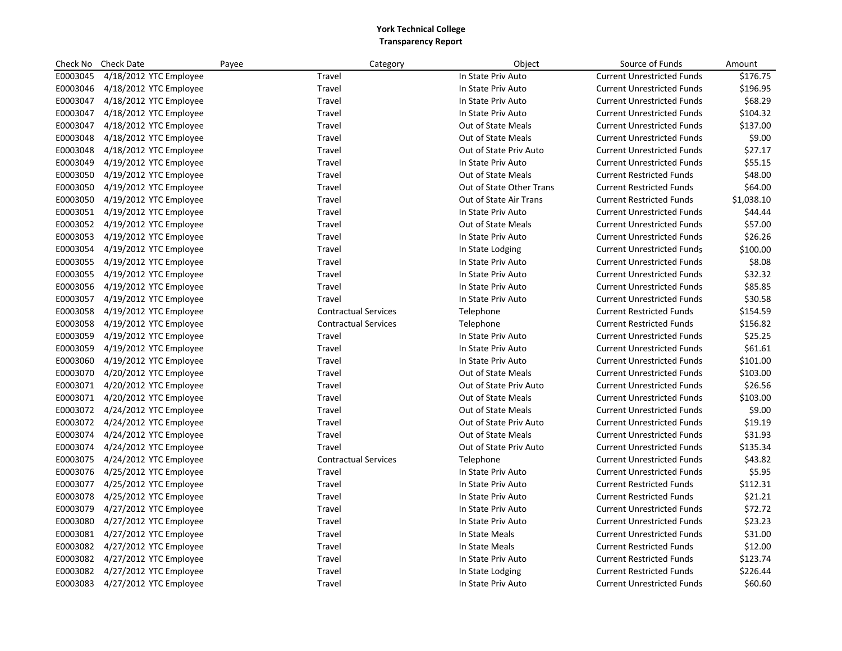| Check No | <b>Check Date</b>      | Payee                       | Category | Object                    | Source of Funds                   | Amount     |
|----------|------------------------|-----------------------------|----------|---------------------------|-----------------------------------|------------|
| E0003045 | 4/18/2012 YTC Employee | Travel                      |          | In State Priv Auto        | <b>Current Unrestricted Funds</b> | \$176.75   |
| E0003046 | 4/18/2012 YTC Employee | Travel                      |          | In State Priv Auto        | <b>Current Unrestricted Funds</b> | \$196.95   |
| E0003047 | 4/18/2012 YTC Employee | Travel                      |          | In State Priv Auto        | <b>Current Unrestricted Funds</b> | \$68.29    |
| E0003047 | 4/18/2012 YTC Employee | Travel                      |          | In State Priv Auto        | <b>Current Unrestricted Funds</b> | \$104.32   |
| E0003047 | 4/18/2012 YTC Employee | Travel                      |          | Out of State Meals        | <b>Current Unrestricted Funds</b> | \$137.00   |
| E0003048 | 4/18/2012 YTC Employee | Travel                      |          | Out of State Meals        | <b>Current Unrestricted Funds</b> | \$9.00     |
| E0003048 | 4/18/2012 YTC Employee | Travel                      |          | Out of State Priv Auto    | <b>Current Unrestricted Funds</b> | \$27.17    |
| E0003049 | 4/19/2012 YTC Employee | Travel                      |          | In State Priv Auto        | <b>Current Unrestricted Funds</b> | \$55.15    |
| E0003050 | 4/19/2012 YTC Employee | Travel                      |          | Out of State Meals        | <b>Current Restricted Funds</b>   | \$48.00    |
| E0003050 | 4/19/2012 YTC Employee | Travel                      |          | Out of State Other Trans  | <b>Current Restricted Funds</b>   | \$64.00    |
| E0003050 | 4/19/2012 YTC Employee | Travel                      |          | Out of State Air Trans    | <b>Current Restricted Funds</b>   | \$1,038.10 |
| E0003051 | 4/19/2012 YTC Employee | Travel                      |          | In State Priv Auto        | <b>Current Unrestricted Funds</b> | \$44.44    |
| E0003052 | 4/19/2012 YTC Employee | Travel                      |          | <b>Out of State Meals</b> | <b>Current Unrestricted Funds</b> | \$57.00    |
| E0003053 | 4/19/2012 YTC Employee | Travel                      |          | In State Priv Auto        | <b>Current Unrestricted Funds</b> | \$26.26    |
| E0003054 | 4/19/2012 YTC Employee | Travel                      |          | In State Lodging          | <b>Current Unrestricted Funds</b> | \$100.00   |
| E0003055 | 4/19/2012 YTC Employee | Travel                      |          | In State Priv Auto        | <b>Current Unrestricted Funds</b> | \$8.08     |
| E0003055 | 4/19/2012 YTC Employee | Travel                      |          | In State Priv Auto        | <b>Current Unrestricted Funds</b> | \$32.32    |
| E0003056 | 4/19/2012 YTC Employee | Travel                      |          | In State Priv Auto        | <b>Current Unrestricted Funds</b> | \$85.85    |
| E0003057 | 4/19/2012 YTC Employee | Travel                      |          | In State Priv Auto        | <b>Current Unrestricted Funds</b> | \$30.58    |
| E0003058 | 4/19/2012 YTC Employee | <b>Contractual Services</b> |          | Telephone                 | <b>Current Restricted Funds</b>   | \$154.59   |
| E0003058 | 4/19/2012 YTC Employee | <b>Contractual Services</b> |          | Telephone                 | <b>Current Restricted Funds</b>   | \$156.82   |
| E0003059 | 4/19/2012 YTC Employee | Travel                      |          | In State Priv Auto        | <b>Current Unrestricted Funds</b> | \$25.25    |
| E0003059 | 4/19/2012 YTC Employee | Travel                      |          | In State Priv Auto        | <b>Current Unrestricted Funds</b> | \$61.61    |
| E0003060 | 4/19/2012 YTC Employee | Travel                      |          | In State Priv Auto        | <b>Current Unrestricted Funds</b> | \$101.00   |
| E0003070 | 4/20/2012 YTC Employee | Travel                      |          | Out of State Meals        | <b>Current Unrestricted Funds</b> | \$103.00   |
| E0003071 | 4/20/2012 YTC Employee | Travel                      |          | Out of State Priv Auto    | <b>Current Unrestricted Funds</b> | \$26.56    |
| E0003071 | 4/20/2012 YTC Employee | Travel                      |          | Out of State Meals        | <b>Current Unrestricted Funds</b> | \$103.00   |
| E0003072 | 4/24/2012 YTC Employee | Travel                      |          | <b>Out of State Meals</b> | <b>Current Unrestricted Funds</b> | \$9.00     |
| E0003072 | 4/24/2012 YTC Employee | Travel                      |          | Out of State Priv Auto    | <b>Current Unrestricted Funds</b> | \$19.19    |
| E0003074 | 4/24/2012 YTC Employee | Travel                      |          | <b>Out of State Meals</b> | <b>Current Unrestricted Funds</b> | \$31.93    |
| E0003074 | 4/24/2012 YTC Employee | Travel                      |          | Out of State Priv Auto    | <b>Current Unrestricted Funds</b> | \$135.34   |
| E0003075 | 4/24/2012 YTC Employee | <b>Contractual Services</b> |          | Telephone                 | <b>Current Unrestricted Funds</b> | \$43.82    |
| E0003076 | 4/25/2012 YTC Employee | Travel                      |          | In State Priv Auto        | <b>Current Unrestricted Funds</b> | \$5.95     |
| E0003077 | 4/25/2012 YTC Employee | Travel                      |          | In State Priv Auto        | <b>Current Restricted Funds</b>   | \$112.31   |
| E0003078 | 4/25/2012 YTC Employee | Travel                      |          | In State Priv Auto        | <b>Current Restricted Funds</b>   | \$21.21    |
| E0003079 | 4/27/2012 YTC Employee | Travel                      |          | In State Priv Auto        | <b>Current Unrestricted Funds</b> | \$72.72    |
| E0003080 | 4/27/2012 YTC Employee | Travel                      |          | In State Priv Auto        | <b>Current Unrestricted Funds</b> | \$23.23    |
| E0003081 | 4/27/2012 YTC Employee | Travel                      |          | In State Meals            | <b>Current Unrestricted Funds</b> | \$31.00    |
| E0003082 | 4/27/2012 YTC Employee | Travel                      |          | In State Meals            | <b>Current Restricted Funds</b>   | \$12.00    |
| E0003082 | 4/27/2012 YTC Employee | Travel                      |          | In State Priv Auto        | <b>Current Restricted Funds</b>   | \$123.74   |
| E0003082 | 4/27/2012 YTC Employee | Travel                      |          | In State Lodging          | <b>Current Restricted Funds</b>   | \$226.44   |
| E0003083 | 4/27/2012 YTC Employee | Travel                      |          | In State Priv Auto        | <b>Current Unrestricted Funds</b> | \$60.60    |